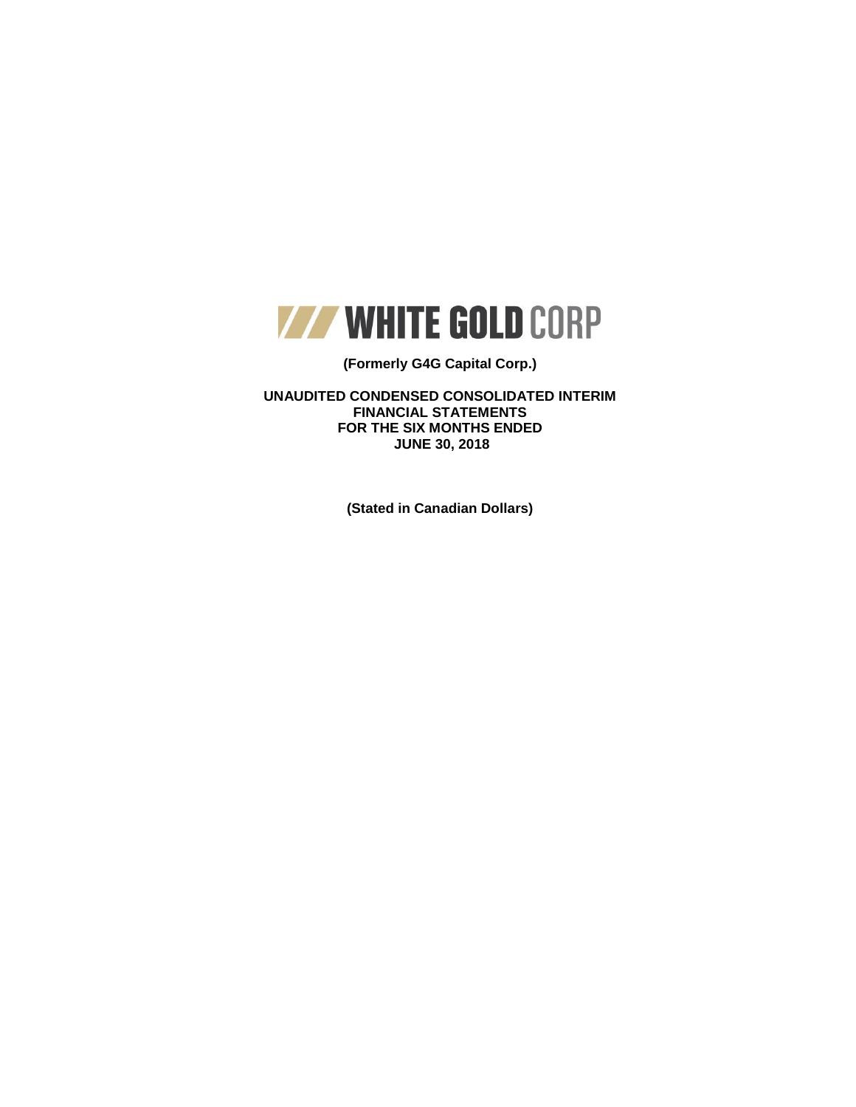

## **(Formerly G4G Capital Corp.)**

**UNAUDITED CONDENSED CONSOLIDATED INTERIM FINANCIAL STATEMENTS FOR THE SIX MONTHS ENDED JUNE 30, 2018**

**(Stated in Canadian Dollars)**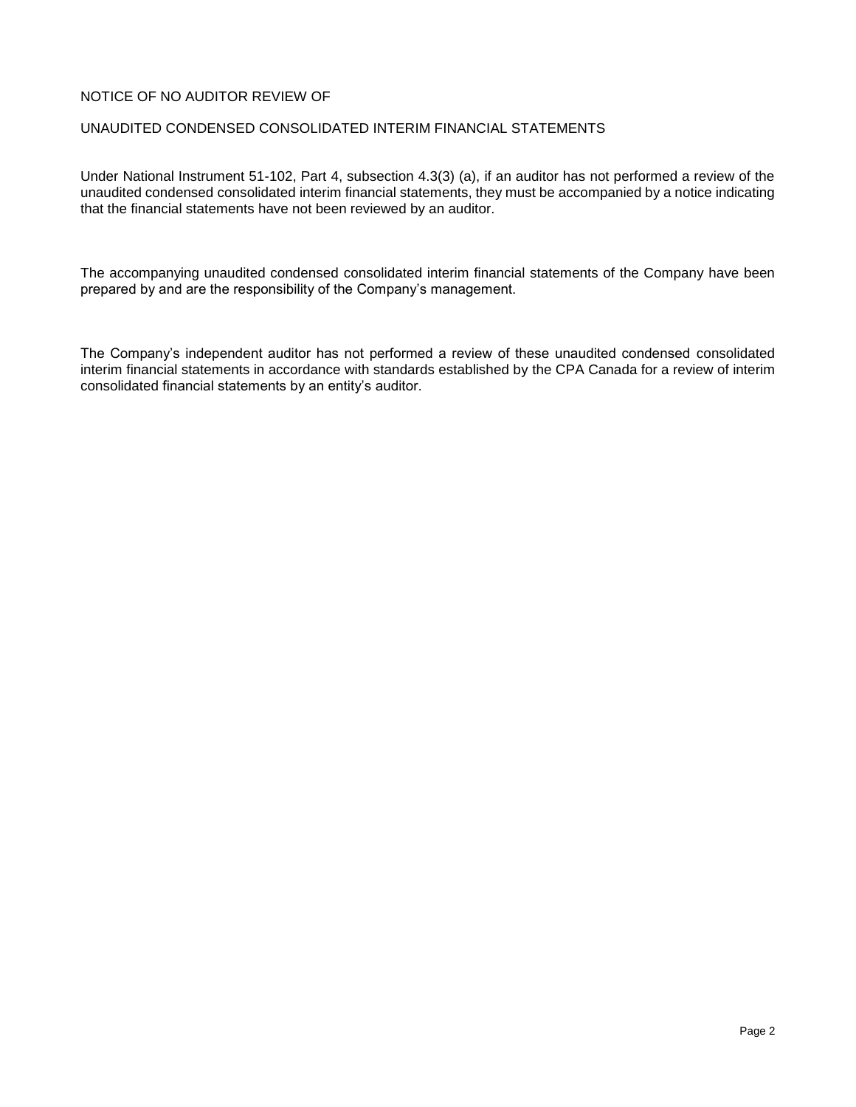## NOTICE OF NO AUDITOR REVIEW OF

### UNAUDITED CONDENSED CONSOLIDATED INTERIM FINANCIAL STATEMENTS

Under National Instrument 51-102, Part 4, subsection 4.3(3) (a), if an auditor has not performed a review of the unaudited condensed consolidated interim financial statements, they must be accompanied by a notice indicating that the financial statements have not been reviewed by an auditor.

The accompanying unaudited condensed consolidated interim financial statements of the Company have been prepared by and are the responsibility of the Company's management.

The Company's independent auditor has not performed a review of these unaudited condensed consolidated interim financial statements in accordance with standards established by the CPA Canada for a review of interim consolidated financial statements by an entity's auditor.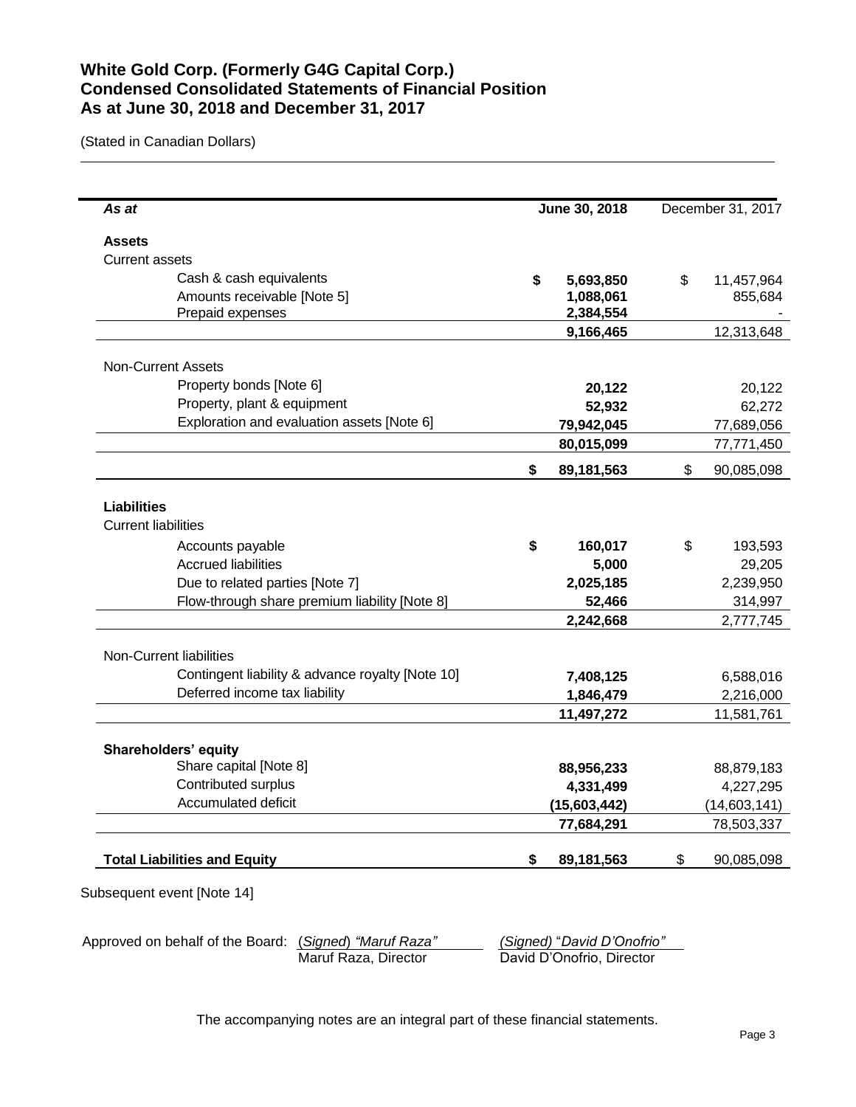# **White Gold Corp. (Formerly G4G Capital Corp.) Condensed Consolidated Statements of Financial Position As at June 30, 2018 and December 31, 2017**

(Stated in Canadian Dollars)

L.

| As at                                            | June 30, 2018 |              | December 31, 2017 |
|--------------------------------------------------|---------------|--------------|-------------------|
| <b>Assets</b>                                    |               |              |                   |
| <b>Current assets</b>                            |               |              |                   |
| Cash & cash equivalents                          | \$            | 5,693,850    | \$<br>11,457,964  |
| Amounts receivable [Note 5]                      |               | 1,088,061    | 855,684           |
| Prepaid expenses                                 |               | 2,384,554    |                   |
|                                                  |               | 9,166,465    | 12,313,648        |
| <b>Non-Current Assets</b>                        |               |              |                   |
| Property bonds [Note 6]                          |               | 20,122       | 20,122            |
| Property, plant & equipment                      |               | 52,932       | 62,272            |
| Exploration and evaluation assets [Note 6]       |               | 79,942,045   | 77,689,056        |
|                                                  |               | 80,015,099   | 77,771,450        |
|                                                  |               |              |                   |
|                                                  | \$            | 89,181,563   | \$<br>90,085,098  |
| <b>Liabilities</b>                               |               |              |                   |
| <b>Current liabilities</b>                       |               |              |                   |
| Accounts payable                                 | \$            | 160,017      | \$<br>193,593     |
| <b>Accrued liabilities</b>                       |               | 5,000        | 29,205            |
| Due to related parties [Note 7]                  |               | 2,025,185    | 2,239,950         |
| Flow-through share premium liability [Note 8]    |               | 52,466       | 314,997           |
|                                                  |               | 2,242,668    | 2,777,745         |
| Non-Current liabilities                          |               |              |                   |
| Contingent liability & advance royalty [Note 10] |               | 7,408,125    | 6,588,016         |
| Deferred income tax liability                    |               | 1,846,479    | 2,216,000         |
|                                                  |               | 11,497,272   | 11,581,761        |
| Shareholders' equity                             |               |              |                   |
| Share capital [Note 8]                           |               | 88,956,233   | 88,879,183        |
| Contributed surplus                              |               | 4,331,499    | 4,227,295         |
| Accumulated deficit                              |               | (15,603,442) | (14,603,141)      |
|                                                  |               | 77,684,291   | 78,503,337        |
|                                                  |               |              |                   |
| <b>Total Liabilities and Equity</b>              | \$            | 89,181,563   | \$<br>90,085,098  |

Approved on behalf of the Board: (*Signed*) *"Maruf Raza" (Signed)* "*David D'Onofrio"* David D'Onofrio, Director

The accompanying notes are an integral part of these financial statements.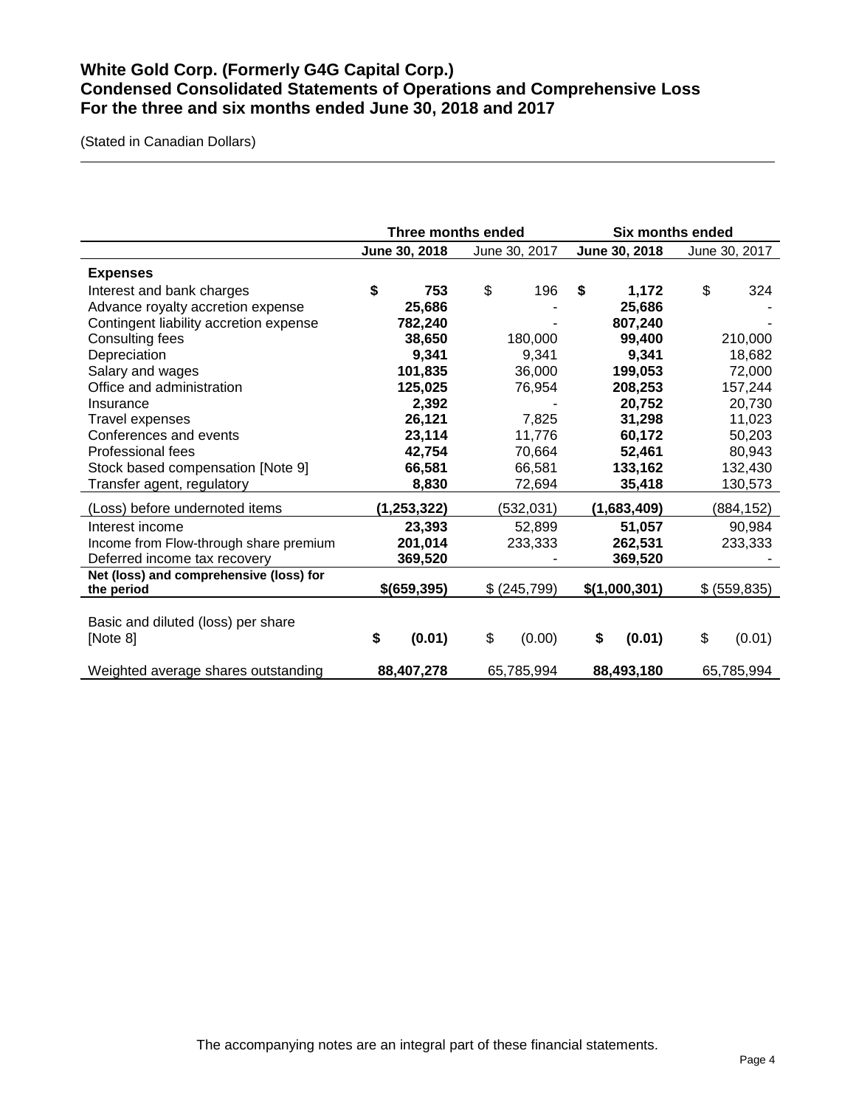# **White Gold Corp. (Formerly G4G Capital Corp.) Condensed Consolidated Statements of Operations and Comprehensive Loss For the three and six months ended June 30, 2018 and 2017**

(Stated in Canadian Dollars)

|                                         |               | Three months ended | <b>Six months ended</b> |               |  |
|-----------------------------------------|---------------|--------------------|-------------------------|---------------|--|
|                                         | June 30, 2018 | June 30, 2017      | June 30, 2018           | June 30, 2017 |  |
| <b>Expenses</b>                         |               |                    |                         |               |  |
| Interest and bank charges               | \$<br>753     | \$<br>196          | \$<br>1,172             | \$<br>324     |  |
| Advance royalty accretion expense       | 25,686        |                    | 25,686                  |               |  |
| Contingent liability accretion expense  | 782,240       |                    | 807,240                 |               |  |
| Consulting fees                         | 38,650        | 180,000            | 99,400                  | 210,000       |  |
| Depreciation                            | 9,341         | 9,341              | 9,341                   | 18,682        |  |
| Salary and wages                        | 101,835       | 36,000             | 199,053                 | 72,000        |  |
| Office and administration               | 125,025       | 76,954             | 208,253                 | 157,244       |  |
| Insurance                               | 2,392         |                    | 20,752                  | 20,730        |  |
| <b>Travel expenses</b>                  | 26,121        | 7,825              | 31,298                  | 11,023        |  |
| Conferences and events                  | 23,114        | 11,776             | 60,172                  | 50,203        |  |
| Professional fees                       | 42,754        | 70,664             | 52,461                  | 80,943        |  |
| Stock based compensation [Note 9]       | 66,581        | 66,581             | 133,162                 | 132,430       |  |
| Transfer agent, regulatory              | 8,830         | 72,694             | 35,418                  | 130,573       |  |
| (Loss) before undernoted items          | (1, 253, 322) | (532, 031)         | (1,683,409)             | (884,152)     |  |
| Interest income                         | 23,393        | 52,899             | 51,057                  | 90,984        |  |
| Income from Flow-through share premium  | 201,014       | 233,333            | 262,531                 | 233,333       |  |
| Deferred income tax recovery            | 369,520       |                    | 369,520                 |               |  |
| Net (loss) and comprehensive (loss) for |               |                    |                         |               |  |
| the period                              | \$(659,395)   | \$(245,799)        | \$(1,000,301)           | \$ (559, 835) |  |
|                                         |               |                    |                         |               |  |
| Basic and diluted (loss) per share      |               |                    |                         |               |  |
| [Note 8]                                | \$<br>(0.01)  | \$<br>(0.00)       | \$<br>(0.01)            | \$<br>(0.01)  |  |
| Weighted average shares outstanding     | 88,407,278    | 65,785,994         | 88,493,180              | 65,785,994    |  |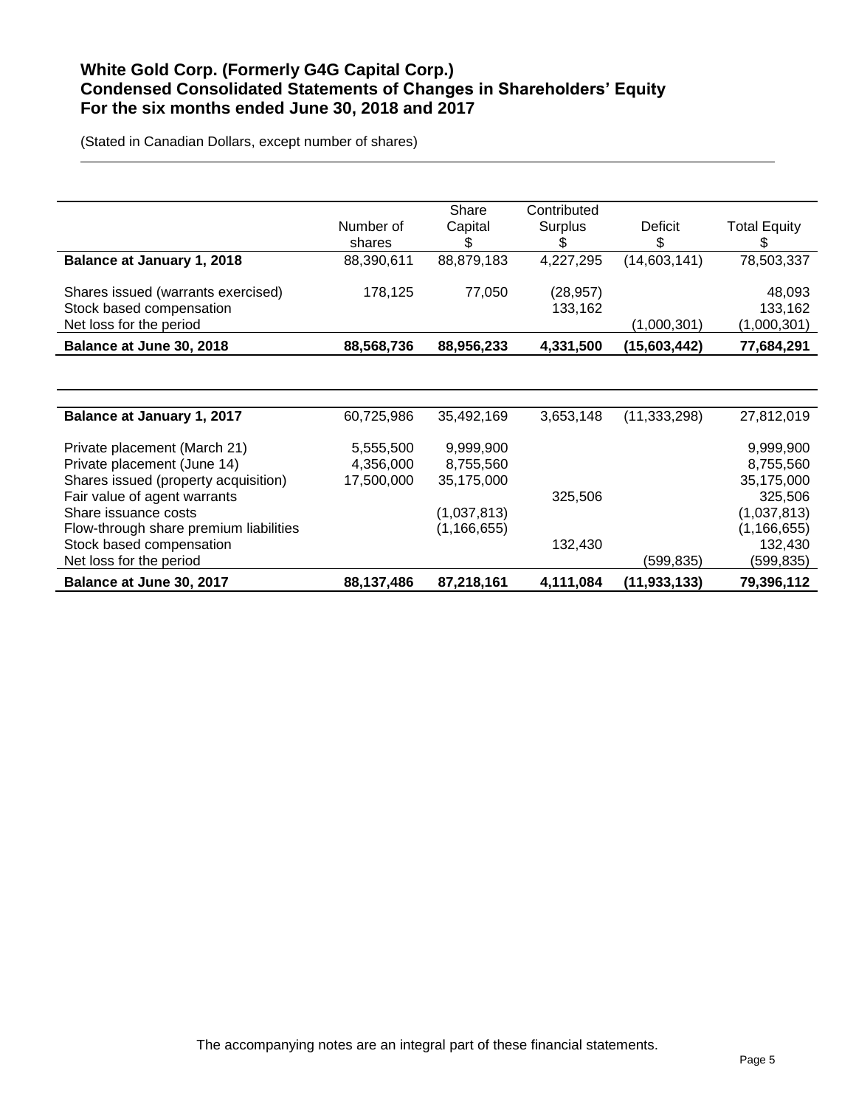# **White Gold Corp. (Formerly G4G Capital Corp.) Condensed Consolidated Statements of Changes in Shareholders' Equity For the six months ended June 30, 2018 and 2017**

(Stated in Canadian Dollars, except number of shares)

|                                        |            | Share         | Contributed |                |                     |
|----------------------------------------|------------|---------------|-------------|----------------|---------------------|
|                                        | Number of  | Capital       | Surplus     | Deficit        | <b>Total Equity</b> |
|                                        | shares     | \$            |             | \$             | S                   |
| <b>Balance at January 1, 2018</b>      | 88,390,611 | 88,879,183    | 4,227,295   | (14,603,141)   | 78,503,337          |
| Shares issued (warrants exercised)     | 178,125    | 77,050        | (28, 957)   |                | 48,093              |
| Stock based compensation               |            |               | 133,162     |                | 133,162             |
| Net loss for the period                |            |               |             | (1,000,301)    | (1,000,301)         |
| Balance at June 30, 2018               | 88,568,736 | 88,956,233    | 4,331,500   | (15,603,442)   | 77,684,291          |
|                                        |            |               |             |                |                     |
|                                        |            |               |             |                |                     |
| Balance at January 1, 2017             | 60,725,986 | 35,492,169    | 3,653,148   | (11, 333, 298) | 27,812,019          |
| Private placement (March 21)           | 5,555,500  | 9,999,900     |             |                | 9,999,900           |
|                                        |            |               |             |                |                     |
| Private placement (June 14)            | 4,356,000  | 8,755,560     |             |                | 8,755,560           |
| Shares issued (property acquisition)   | 17,500,000 | 35,175,000    |             |                | 35,175,000          |
| Fair value of agent warrants           |            |               | 325,506     |                | 325,506             |
| Share issuance costs                   |            | (1,037,813)   |             |                | (1,037,813)         |
| Flow-through share premium liabilities |            | (1, 166, 655) |             |                | (1, 166, 655)       |
| Stock based compensation               |            |               | 132,430     |                | 132,430             |
| Net loss for the period                |            |               |             | (599,835)      | (599,835)           |
| Balance at June 30, 2017               | 88,137,486 | 87,218,161    | 4,111,084   | (11,933,133)   | 79,396,112          |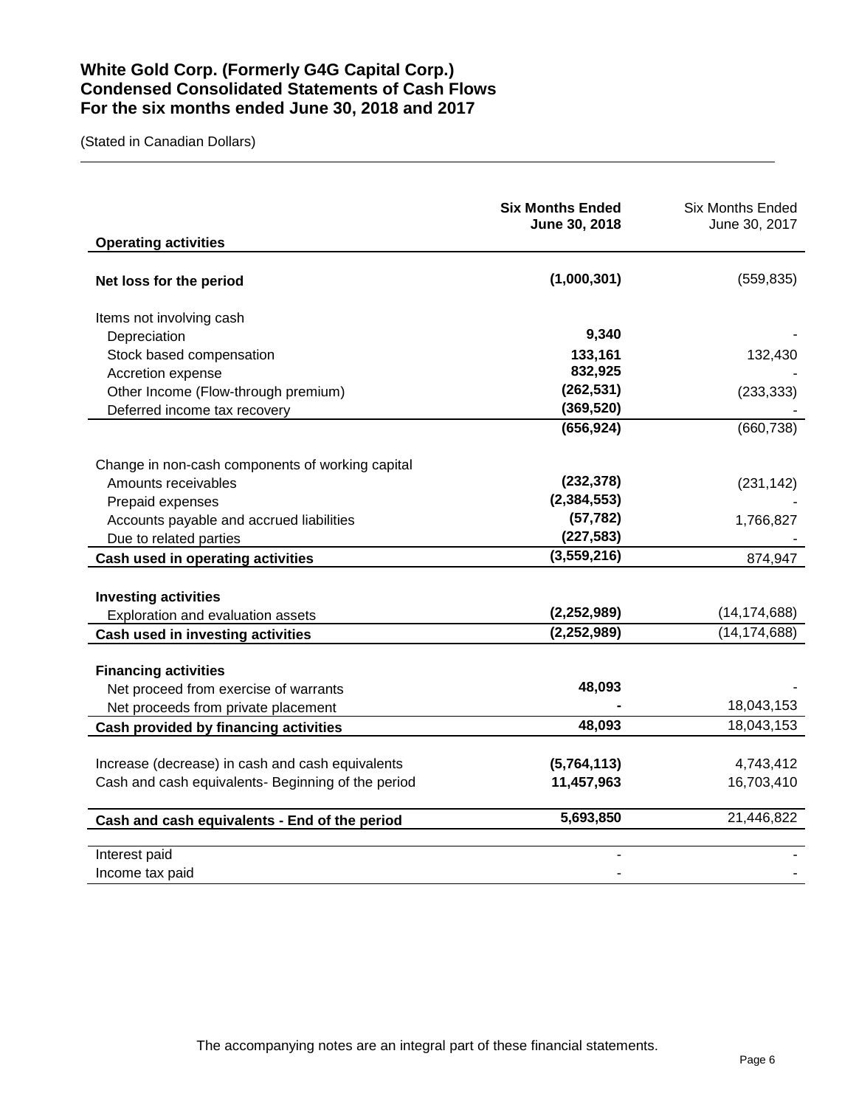# **White Gold Corp. (Formerly G4G Capital Corp.) Condensed Consolidated Statements of Cash Flows For the six months ended June 30, 2018 and 2017**

(Stated in Canadian Dollars)

| <b>Operating activities</b>                        | <b>Six Months Ended</b><br>June 30, 2018 | <b>Six Months Ended</b><br>June 30, 2017 |
|----------------------------------------------------|------------------------------------------|------------------------------------------|
| Net loss for the period                            | (1,000,301)                              | (559, 835)                               |
| Items not involving cash                           |                                          |                                          |
| Depreciation                                       | 9,340                                    |                                          |
| Stock based compensation                           | 133,161                                  | 132,430                                  |
| Accretion expense                                  | 832,925                                  |                                          |
| Other Income (Flow-through premium)                | (262, 531)                               | (233, 333)                               |
| Deferred income tax recovery                       | (369, 520)                               |                                          |
|                                                    | (656, 924)                               | (660, 738)                               |
| Change in non-cash components of working capital   |                                          |                                          |
| Amounts receivables                                | (232, 378)                               | (231, 142)                               |
| Prepaid expenses                                   | (2, 384, 553)                            |                                          |
| Accounts payable and accrued liabilities           | (57, 782)                                | 1,766,827                                |
| Due to related parties                             | (227, 583)                               |                                          |
| Cash used in operating activities                  | (3,559,216)                              | 874,947                                  |
|                                                    |                                          |                                          |
| <b>Investing activities</b>                        |                                          |                                          |
| Exploration and evaluation assets                  | (2,252,989)                              | (14, 174, 688)                           |
| Cash used in investing activities                  | (2, 252, 989)                            | (14, 174, 688)                           |
| <b>Financing activities</b>                        |                                          |                                          |
| Net proceed from exercise of warrants              | 48,093                                   |                                          |
| Net proceeds from private placement                |                                          | 18,043,153                               |
| Cash provided by financing activities              | 48,093                                   | 18,043,153                               |
|                                                    |                                          |                                          |
| Increase (decrease) in cash and cash equivalents   | (5,764,113)                              | 4,743,412                                |
| Cash and cash equivalents- Beginning of the period | 11,457,963                               | 16,703,410                               |
| Cash and cash equivalents - End of the period      | 5,693,850                                | 21,446,822                               |
| Interest paid                                      |                                          |                                          |
| Income tax paid                                    |                                          |                                          |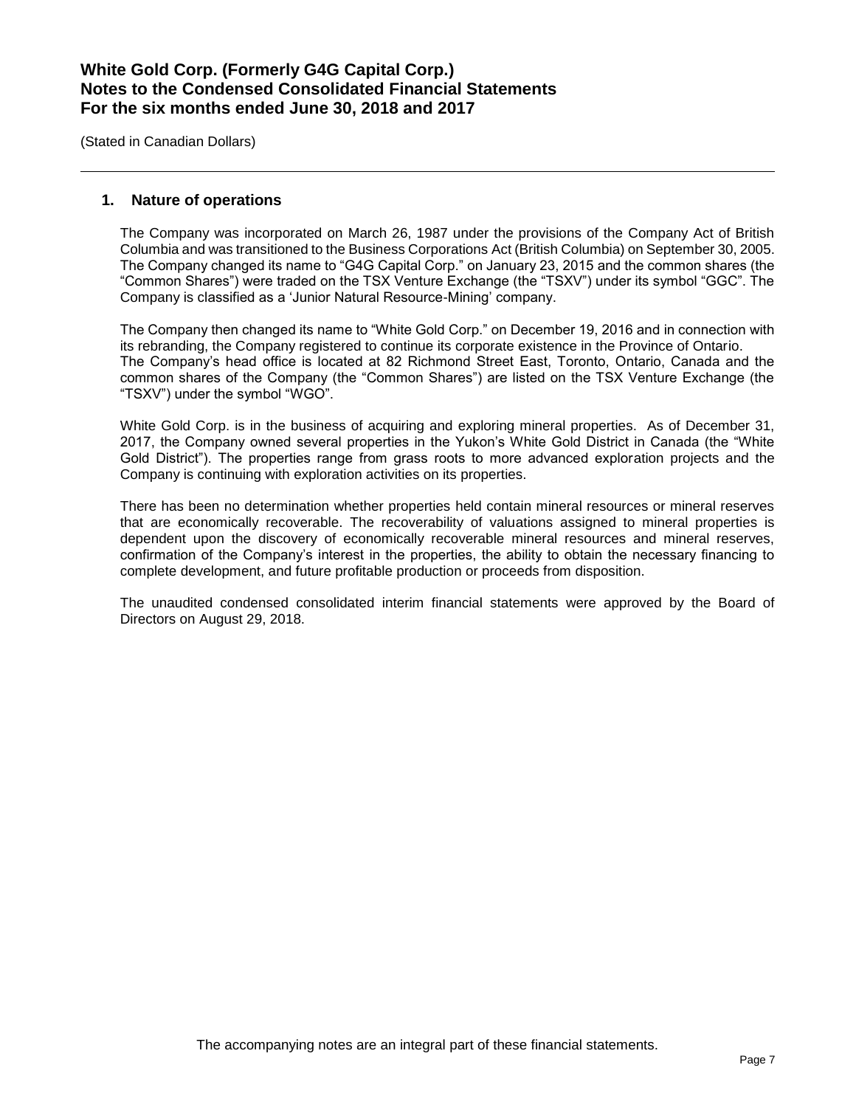(Stated in Canadian Dollars)

### **1. Nature of operations**

The Company was incorporated on March 26, 1987 under the provisions of the Company Act of British Columbia and was transitioned to the Business Corporations Act (British Columbia) on September 30, 2005. The Company changed its name to "G4G Capital Corp." on January 23, 2015 and the common shares (the "Common Shares") were traded on the TSX Venture Exchange (the "TSXV") under its symbol "GGC". The Company is classified as a 'Junior Natural Resource-Mining' company.

The Company then changed its name to "White Gold Corp." on December 19, 2016 and in connection with its rebranding, the Company registered to continue its corporate existence in the Province of Ontario. The Company's head office is located at 82 Richmond Street East, Toronto, Ontario, Canada and the common shares of the Company (the "Common Shares") are listed on the TSX Venture Exchange (the "TSXV") under the symbol "WGO".

White Gold Corp. is in the business of acquiring and exploring mineral properties. As of December 31, 2017, the Company owned several properties in the Yukon's White Gold District in Canada (the "White Gold District"). The properties range from grass roots to more advanced exploration projects and the Company is continuing with exploration activities on its properties.

There has been no determination whether properties held contain mineral resources or mineral reserves that are economically recoverable. The recoverability of valuations assigned to mineral properties is dependent upon the discovery of economically recoverable mineral resources and mineral reserves, confirmation of the Company's interest in the properties, the ability to obtain the necessary financing to complete development, and future profitable production or proceeds from disposition.

The unaudited condensed consolidated interim financial statements were approved by the Board of Directors on August 29, 2018.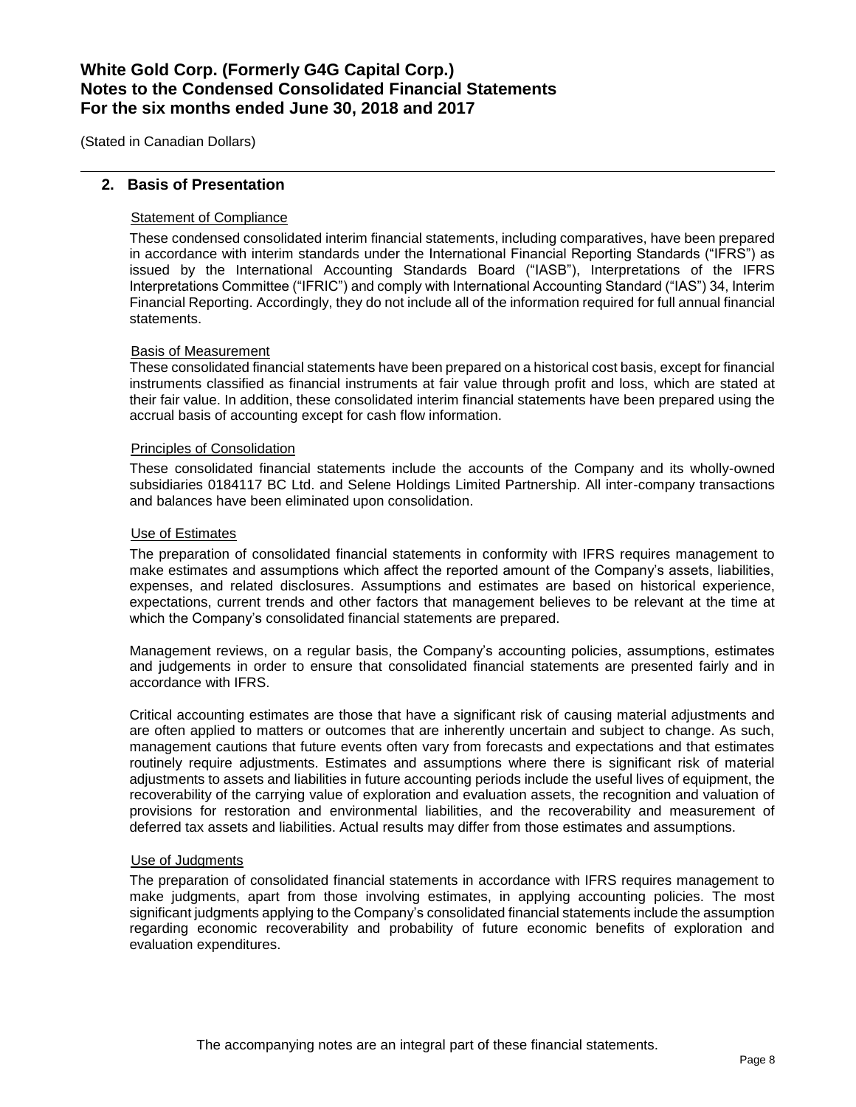(Stated in Canadian Dollars)

## **2. Basis of Presentation**

## Statement of Compliance

These condensed consolidated interim financial statements, including comparatives, have been prepared in accordance with interim standards under the International Financial Reporting Standards ("IFRS") as issued by the International Accounting Standards Board ("IASB"), Interpretations of the IFRS Interpretations Committee ("IFRIC") and comply with International Accounting Standard ("IAS") 34, Interim Financial Reporting. Accordingly, they do not include all of the information required for full annual financial statements.

#### Basis of Measurement

These consolidated financial statements have been prepared on a historical cost basis, except for financial instruments classified as financial instruments at fair value through profit and loss, which are stated at their fair value. In addition, these consolidated interim financial statements have been prepared using the accrual basis of accounting except for cash flow information.

#### Principles of Consolidation

These consolidated financial statements include the accounts of the Company and its wholly-owned subsidiaries 0184117 BC Ltd. and Selene Holdings Limited Partnership. All inter-company transactions and balances have been eliminated upon consolidation.

#### Use of Estimates

The preparation of consolidated financial statements in conformity with IFRS requires management to make estimates and assumptions which affect the reported amount of the Company's assets, liabilities, expenses, and related disclosures. Assumptions and estimates are based on historical experience, expectations, current trends and other factors that management believes to be relevant at the time at which the Company's consolidated financial statements are prepared.

Management reviews, on a regular basis, the Company's accounting policies, assumptions, estimates and judgements in order to ensure that consolidated financial statements are presented fairly and in accordance with IFRS.

Critical accounting estimates are those that have a significant risk of causing material adjustments and are often applied to matters or outcomes that are inherently uncertain and subject to change. As such, management cautions that future events often vary from forecasts and expectations and that estimates routinely require adjustments. Estimates and assumptions where there is significant risk of material adjustments to assets and liabilities in future accounting periods include the useful lives of equipment, the recoverability of the carrying value of exploration and evaluation assets, the recognition and valuation of provisions for restoration and environmental liabilities, and the recoverability and measurement of deferred tax assets and liabilities. Actual results may differ from those estimates and assumptions.

#### Use of Judgments

The preparation of consolidated financial statements in accordance with IFRS requires management to make judgments, apart from those involving estimates, in applying accounting policies. The most significant judgments applying to the Company's consolidated financial statements include the assumption regarding economic recoverability and probability of future economic benefits of exploration and evaluation expenditures.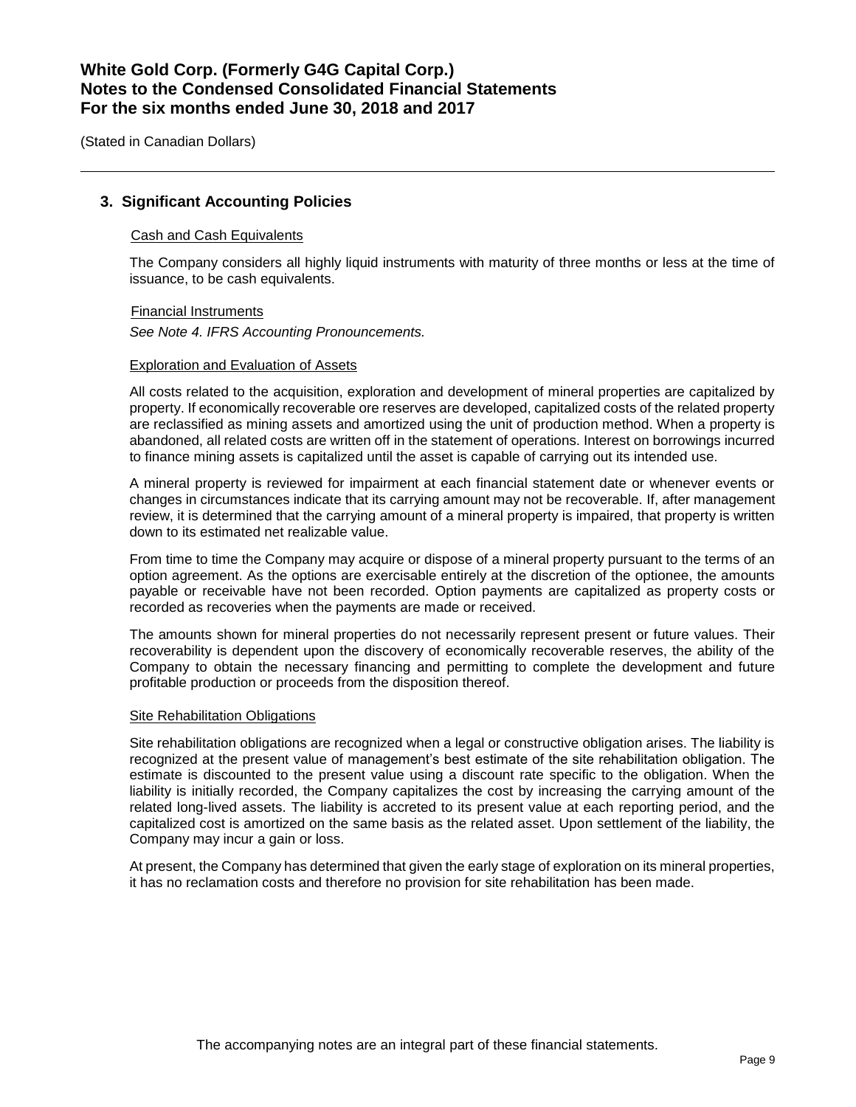(Stated in Canadian Dollars)

## **3. Significant Accounting Policies**

### Cash and Cash Equivalents

The Company considers all highly liquid instruments with maturity of three months or less at the time of issuance, to be cash equivalents.

Financial Instruments *See Note 4. IFRS Accounting Pronouncements.*

### Exploration and Evaluation of Assets

All costs related to the acquisition, exploration and development of mineral properties are capitalized by property. If economically recoverable ore reserves are developed, capitalized costs of the related property are reclassified as mining assets and amortized using the unit of production method. When a property is abandoned, all related costs are written off in the statement of operations. Interest on borrowings incurred to finance mining assets is capitalized until the asset is capable of carrying out its intended use.

A mineral property is reviewed for impairment at each financial statement date or whenever events or changes in circumstances indicate that its carrying amount may not be recoverable. If, after management review, it is determined that the carrying amount of a mineral property is impaired, that property is written down to its estimated net realizable value.

From time to time the Company may acquire or dispose of a mineral property pursuant to the terms of an option agreement. As the options are exercisable entirely at the discretion of the optionee, the amounts payable or receivable have not been recorded. Option payments are capitalized as property costs or recorded as recoveries when the payments are made or received.

The amounts shown for mineral properties do not necessarily represent present or future values. Their recoverability is dependent upon the discovery of economically recoverable reserves, the ability of the Company to obtain the necessary financing and permitting to complete the development and future profitable production or proceeds from the disposition thereof.

#### Site Rehabilitation Obligations

Site rehabilitation obligations are recognized when a legal or constructive obligation arises. The liability is recognized at the present value of management's best estimate of the site rehabilitation obligation. The estimate is discounted to the present value using a discount rate specific to the obligation. When the liability is initially recorded, the Company capitalizes the cost by increasing the carrying amount of the related long-lived assets. The liability is accreted to its present value at each reporting period, and the capitalized cost is amortized on the same basis as the related asset. Upon settlement of the liability, the Company may incur a gain or loss.

At present, the Company has determined that given the early stage of exploration on its mineral properties, it has no reclamation costs and therefore no provision for site rehabilitation has been made.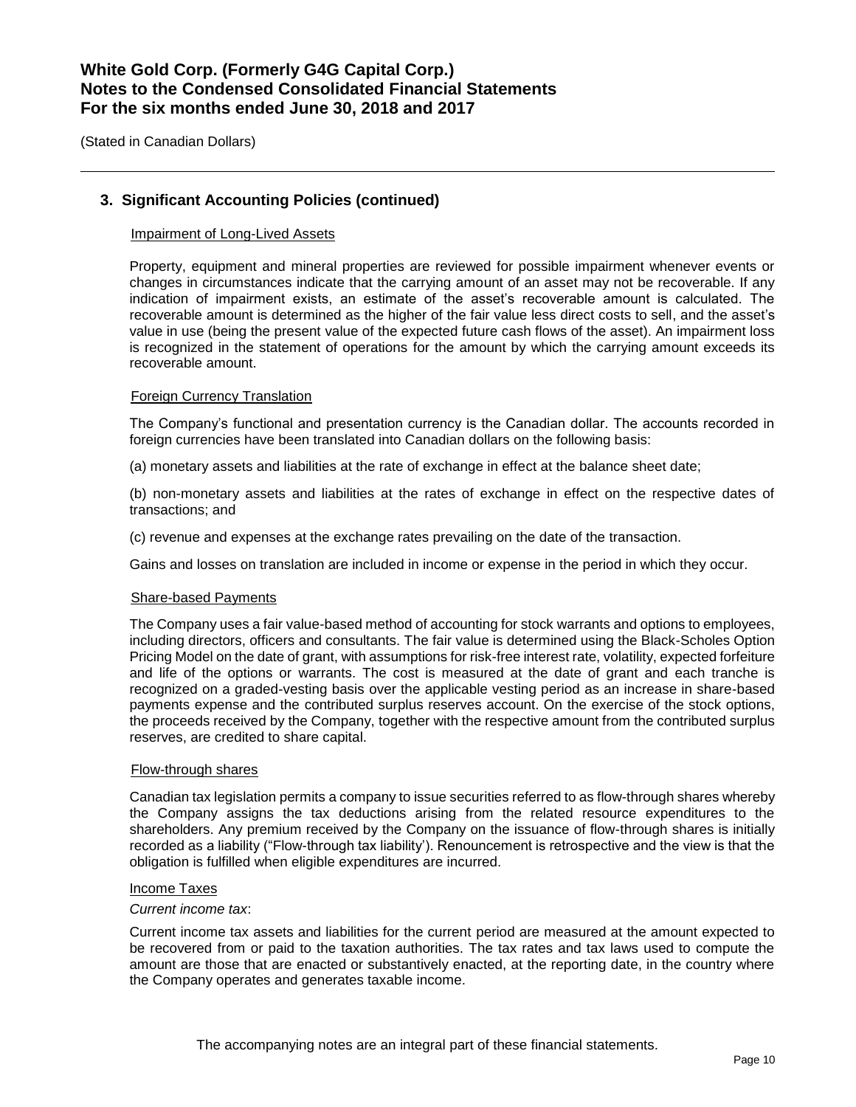(Stated in Canadian Dollars)

## **3. Significant Accounting Policies (continued)**

#### Impairment of Long-Lived Assets

Property, equipment and mineral properties are reviewed for possible impairment whenever events or changes in circumstances indicate that the carrying amount of an asset may not be recoverable. If any indication of impairment exists, an estimate of the asset's recoverable amount is calculated. The recoverable amount is determined as the higher of the fair value less direct costs to sell, and the asset's value in use (being the present value of the expected future cash flows of the asset). An impairment loss is recognized in the statement of operations for the amount by which the carrying amount exceeds its recoverable amount.

#### Foreign Currency Translation

The Company's functional and presentation currency is the Canadian dollar. The accounts recorded in foreign currencies have been translated into Canadian dollars on the following basis:

(a) monetary assets and liabilities at the rate of exchange in effect at the balance sheet date;

(b) non-monetary assets and liabilities at the rates of exchange in effect on the respective dates of transactions; and

(c) revenue and expenses at the exchange rates prevailing on the date of the transaction.

Gains and losses on translation are included in income or expense in the period in which they occur.

#### Share-based Payments

The Company uses a fair value-based method of accounting for stock warrants and options to employees, including directors, officers and consultants. The fair value is determined using the Black-Scholes Option Pricing Model on the date of grant, with assumptions for risk-free interest rate, volatility, expected forfeiture and life of the options or warrants. The cost is measured at the date of grant and each tranche is recognized on a graded-vesting basis over the applicable vesting period as an increase in share-based payments expense and the contributed surplus reserves account. On the exercise of the stock options, the proceeds received by the Company, together with the respective amount from the contributed surplus reserves, are credited to share capital.

#### Flow-through shares

Canadian tax legislation permits a company to issue securities referred to as flow-through shares whereby the Company assigns the tax deductions arising from the related resource expenditures to the shareholders. Any premium received by the Company on the issuance of flow-through shares is initially recorded as a liability ("Flow-through tax liability'). Renouncement is retrospective and the view is that the obligation is fulfilled when eligible expenditures are incurred.

#### Income Taxes

#### *Current income tax*:

Current income tax assets and liabilities for the current period are measured at the amount expected to be recovered from or paid to the taxation authorities. The tax rates and tax laws used to compute the amount are those that are enacted or substantively enacted, at the reporting date, in the country where the Company operates and generates taxable income.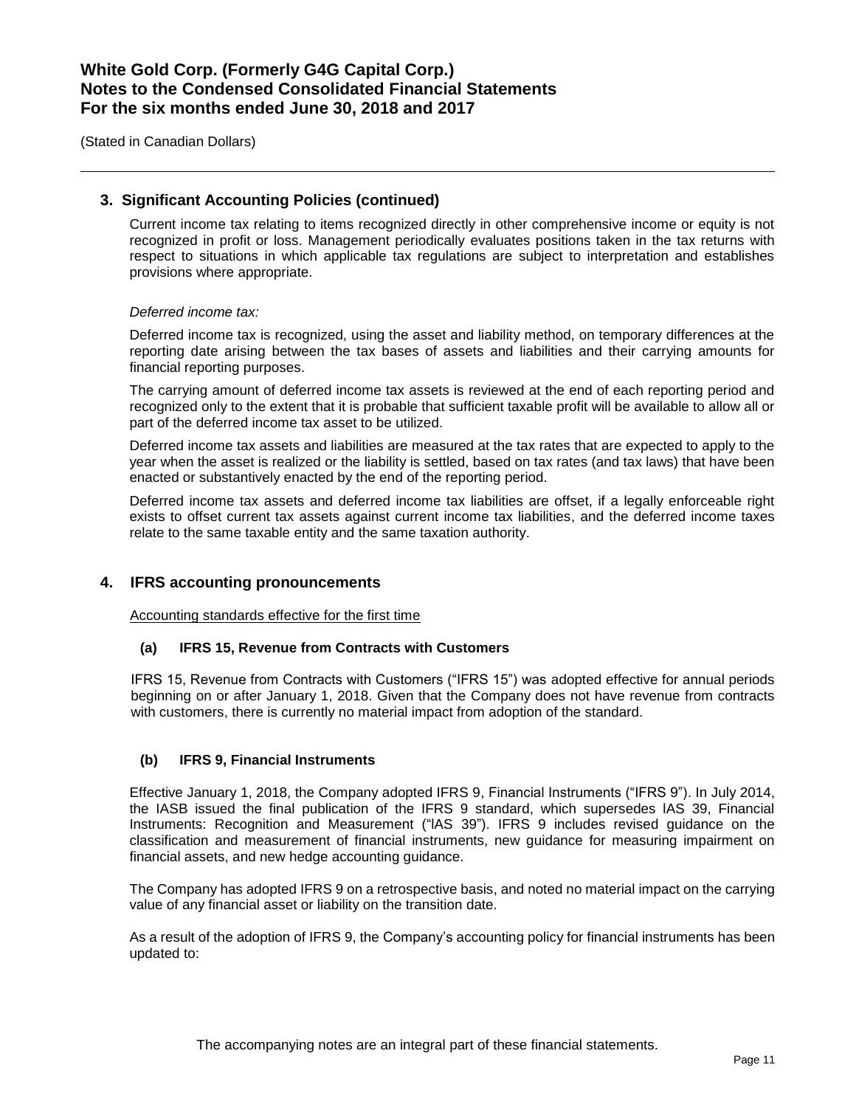(Stated in Canadian Dollars)

## **3. Significant Accounting Policies (continued)**

Current income tax relating to items recognized directly in other comprehensive income or equity is not recognized in profit or loss. Management periodically evaluates positions taken in the tax returns with respect to situations in which applicable tax regulations are subject to interpretation and establishes provisions where appropriate.

#### *Deferred income tax:*

Deferred income tax is recognized, using the asset and liability method, on temporary differences at the reporting date arising between the tax bases of assets and liabilities and their carrying amounts for financial reporting purposes.

The carrying amount of deferred income tax assets is reviewed at the end of each reporting period and recognized only to the extent that it is probable that sufficient taxable profit will be available to allow all or part of the deferred income tax asset to be utilized.

Deferred income tax assets and liabilities are measured at the tax rates that are expected to apply to the year when the asset is realized or the liability is settled, based on tax rates (and tax laws) that have been enacted or substantively enacted by the end of the reporting period.

Deferred income tax assets and deferred income tax liabilities are offset, if a legally enforceable right exists to offset current tax assets against current income tax liabilities, and the deferred income taxes relate to the same taxable entity and the same taxation authority.

## **4. IFRS accounting pronouncements**

Accounting standards effective for the first time

#### **(a) IFRS 15, Revenue from Contracts with Customers**

IFRS 15, Revenue from Contracts with Customers ("IFRS 15") was adopted effective for annual periods beginning on or after January 1, 2018. Given that the Company does not have revenue from contracts with customers, there is currently no material impact from adoption of the standard.

## **(b) IFRS 9, Financial Instruments**

Effective January 1, 2018, the Company adopted IFRS 9, Financial Instruments ("IFRS 9"). In July 2014, the IASB issued the final publication of the IFRS 9 standard, which supersedes lAS 39, Financial Instruments: Recognition and Measurement ("lAS 39"). IFRS 9 includes revised guidance on the classification and measurement of financial instruments, new guidance for measuring impairment on financial assets, and new hedge accounting guidance.

The Company has adopted IFRS 9 on a retrospective basis, and noted no material impact on the carrying value of any financial asset or liability on the transition date.

As a result of the adoption of IFRS 9, the Company's accounting policy for financial instruments has been updated to: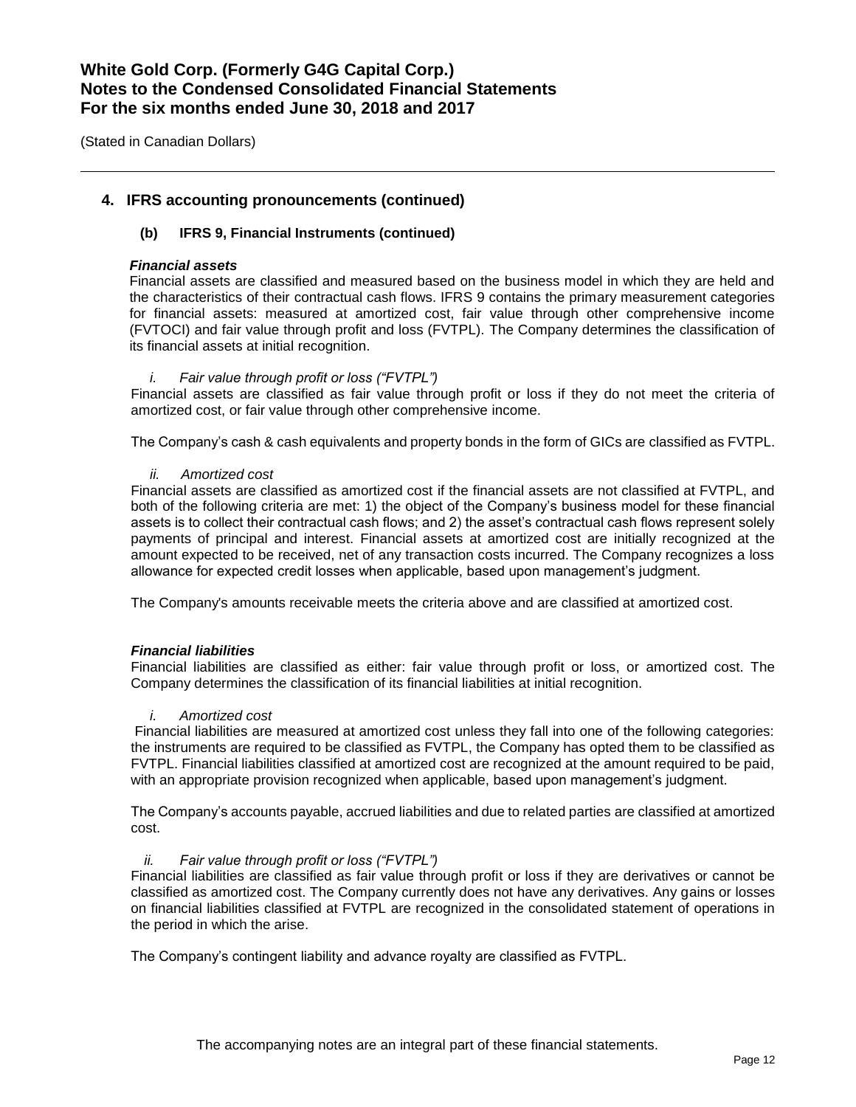(Stated in Canadian Dollars)

## **4. IFRS accounting pronouncements (continued)**

### **(b) IFRS 9, Financial Instruments (continued)**

#### *Financial assets*

Financial assets are classified and measured based on the business model in which they are held and the characteristics of their contractual cash flows. IFRS 9 contains the primary measurement categories for financial assets: measured at amortized cost, fair value through other comprehensive income (FVTOCI) and fair value through profit and loss (FVTPL). The Company determines the classification of its financial assets at initial recognition.

#### *i. Fair value through profit or loss ("FVTPL")*

Financial assets are classified as fair value through profit or loss if they do not meet the criteria of amortized cost, or fair value through other comprehensive income.

The Company's cash & cash equivalents and property bonds in the form of GICs are classified as FVTPL.

#### *ii. Amortized cost*

Financial assets are classified as amortized cost if the financial assets are not classified at FVTPL, and both of the following criteria are met: 1) the object of the Company's business model for these financial assets is to collect their contractual cash flows; and 2) the asset's contractual cash flows represent solely payments of principal and interest. Financial assets at amortized cost are initially recognized at the amount expected to be received, net of any transaction costs incurred. The Company recognizes a loss allowance for expected credit losses when applicable, based upon management's judgment.

The Company's amounts receivable meets the criteria above and are classified at amortized cost.

#### *Financial liabilities*

Financial liabilities are classified as either: fair value through profit or loss, or amortized cost. The Company determines the classification of its financial liabilities at initial recognition.

#### *i. Amortized cost*

Financial liabilities are measured at amortized cost unless they fall into one of the following categories: the instruments are required to be classified as FVTPL, the Company has opted them to be classified as FVTPL. Financial liabilities classified at amortized cost are recognized at the amount required to be paid, with an appropriate provision recognized when applicable, based upon management's judgment.

The Company's accounts payable, accrued liabilities and due to related parties are classified at amortized cost.

#### *ii. Fair value through profit or loss ("FVTPL")*

Financial liabilities are classified as fair value through profit or loss if they are derivatives or cannot be classified as amortized cost. The Company currently does not have any derivatives. Any gains or losses on financial liabilities classified at FVTPL are recognized in the consolidated statement of operations in the period in which the arise.

The Company's contingent liability and advance royalty are classified as FVTPL.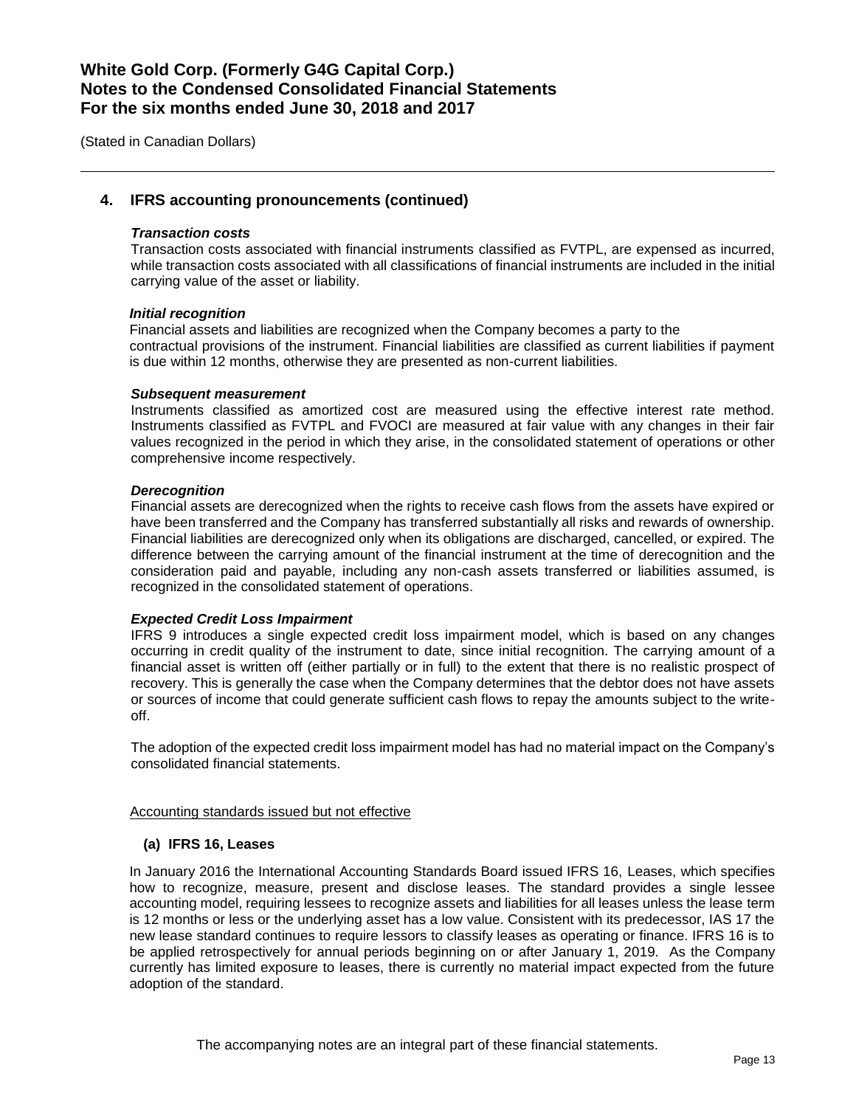(Stated in Canadian Dollars)

## **4. IFRS accounting pronouncements (continued)**

#### *Transaction costs*

Transaction costs associated with financial instruments classified as FVTPL, are expensed as incurred, while transaction costs associated with all classifications of financial instruments are included in the initial carrying value of the asset or liability.

#### *Initial recognition*

Financial assets and liabilities are recognized when the Company becomes a party to the contractual provisions of the instrument. Financial liabilities are classified as current liabilities if payment is due within 12 months, otherwise they are presented as non-current liabilities.

#### *Subsequent measurement*

Instruments classified as amortized cost are measured using the effective interest rate method. Instruments classified as FVTPL and FVOCI are measured at fair value with any changes in their fair values recognized in the period in which they arise, in the consolidated statement of operations or other comprehensive income respectively.

#### *Derecognition*

Financial assets are derecognized when the rights to receive cash flows from the assets have expired or have been transferred and the Company has transferred substantially all risks and rewards of ownership. Financial liabilities are derecognized only when its obligations are discharged, cancelled, or expired. The difference between the carrying amount of the financial instrument at the time of derecognition and the consideration paid and payable, including any non-cash assets transferred or liabilities assumed, is recognized in the consolidated statement of operations.

#### *Expected Credit Loss Impairment*

IFRS 9 introduces a single expected credit loss impairment model, which is based on any changes occurring in credit quality of the instrument to date, since initial recognition. The carrying amount of a financial asset is written off (either partially or in full) to the extent that there is no realistic prospect of recovery. This is generally the case when the Company determines that the debtor does not have assets or sources of income that could generate sufficient cash flows to repay the amounts subject to the writeoff.

The adoption of the expected credit loss impairment model has had no material impact on the Company's consolidated financial statements.

#### Accounting standards issued but not effective

#### **(a) IFRS 16, Leases**

In January 2016 the International Accounting Standards Board issued IFRS 16, Leases, which specifies how to recognize, measure, present and disclose leases. The standard provides a single lessee accounting model, requiring lessees to recognize assets and liabilities for all leases unless the lease term is 12 months or less or the underlying asset has a low value. Consistent with its predecessor, IAS 17 the new lease standard continues to require lessors to classify leases as operating or finance. IFRS 16 is to be applied retrospectively for annual periods beginning on or after January 1, 2019. As the Company currently has limited exposure to leases, there is currently no material impact expected from the future adoption of the standard.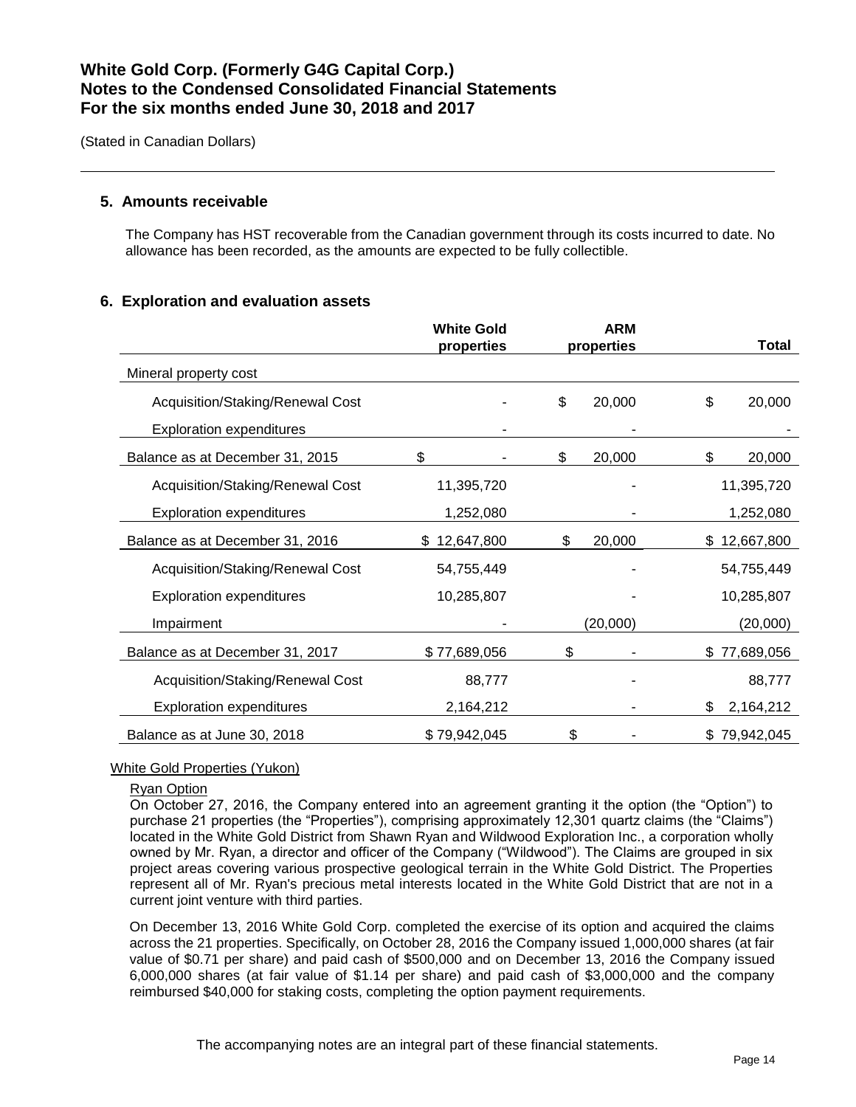(Stated in Canadian Dollars)

### **5. Amounts receivable**

The Company has HST recoverable from the Canadian government through its costs incurred to date. No allowance has been recorded, as the amounts are expected to be fully collectible.

### **6. Exploration and evaluation assets**

|                                  | <b>White Gold</b><br>properties | <b>ARM</b><br>properties | Total            |
|----------------------------------|---------------------------------|--------------------------|------------------|
| Mineral property cost            |                                 |                          |                  |
| Acquisition/Staking/Renewal Cost |                                 | \$<br>20,000             | \$<br>20,000     |
| <b>Exploration expenditures</b>  |                                 |                          |                  |
| Balance as at December 31, 2015  | \$                              | 20,000<br>\$             | \$<br>20,000     |
| Acquisition/Staking/Renewal Cost | 11,395,720                      |                          | 11,395,720       |
| <b>Exploration expenditures</b>  | 1,252,080                       |                          | 1,252,080        |
| Balance as at December 31, 2016  | \$12,647,800                    | 20,000<br>\$             | \$12,667,800     |
| Acquisition/Staking/Renewal Cost | 54,755,449                      |                          | 54,755,449       |
| <b>Exploration expenditures</b>  | 10,285,807                      |                          | 10,285,807       |
| Impairment                       |                                 | (20,000)                 | (20,000)         |
| Balance as at December 31, 2017  | \$77,689,056                    | \$                       | 77,689,056<br>\$ |
| Acquisition/Staking/Renewal Cost | 88,777                          |                          | 88,777           |
| <b>Exploration expenditures</b>  | 2,164,212                       |                          | 2,164,212<br>\$  |
| Balance as at June 30, 2018      | \$79,942,045                    | \$                       | \$79,942,045     |

#### White Gold Properties (Yukon)

#### Ryan Option

On October 27, 2016, the Company entered into an agreement granting it the option (the "Option") to purchase 21 properties (the "Properties"), comprising approximately 12,301 quartz claims (the "Claims") located in the White Gold District from Shawn Ryan and Wildwood Exploration Inc., a corporation wholly owned by Mr. Ryan, a director and officer of the Company ("Wildwood"). The Claims are grouped in six project areas covering various prospective geological terrain in the White Gold District. The Properties represent all of Mr. Ryan's precious metal interests located in the White Gold District that are not in a current joint venture with third parties.

On December 13, 2016 White Gold Corp. completed the exercise of its option and acquired the claims across the 21 properties. Specifically, on October 28, 2016 the Company issued 1,000,000 shares (at fair value of \$0.71 per share) and paid cash of \$500,000 and on December 13, 2016 the Company issued 6,000,000 shares (at fair value of \$1.14 per share) and paid cash of \$3,000,000 and the company reimbursed \$40,000 for staking costs, completing the option payment requirements.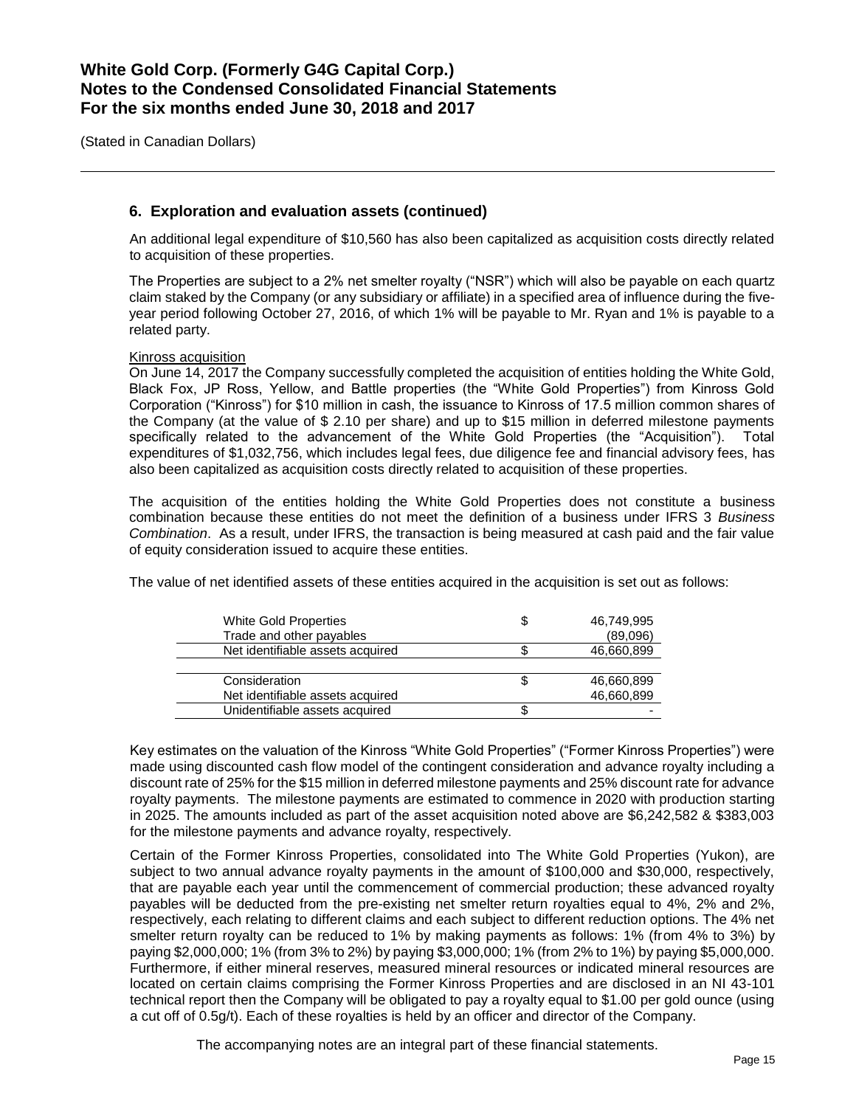(Stated in Canadian Dollars)

## **6. Exploration and evaluation assets (continued)**

An additional legal expenditure of \$10,560 has also been capitalized as acquisition costs directly related to acquisition of these properties.

The Properties are subject to a 2% net smelter royalty ("NSR") which will also be payable on each quartz claim staked by the Company (or any subsidiary or affiliate) in a specified area of influence during the fiveyear period following October 27, 2016, of which 1% will be payable to Mr. Ryan and 1% is payable to a related party.

#### Kinross acquisition

On June 14, 2017 the Company successfully completed the acquisition of entities holding the White Gold, Black Fox, JP Ross, Yellow, and Battle properties (the "White Gold Properties") from Kinross Gold Corporation ("Kinross") for \$10 million in cash, the issuance to Kinross of 17.5 million common shares of the Company (at the value of \$ 2.10 per share) and up to \$15 million in deferred milestone payments specifically related to the advancement of the White Gold Properties (the "Acquisition"). Total expenditures of \$1,032,756, which includes legal fees, due diligence fee and financial advisory fees, has also been capitalized as acquisition costs directly related to acquisition of these properties.

The acquisition of the entities holding the White Gold Properties does not constitute a business combination because these entities do not meet the definition of a business under IFRS 3 *Business Combination*. As a result, under IFRS, the transaction is being measured at cash paid and the fair value of equity consideration issued to acquire these entities.

The value of net identified assets of these entities acquired in the acquisition is set out as follows:

| White Gold Properties<br>Trade and other payables | 46,749,995<br>(89,096) |
|---------------------------------------------------|------------------------|
| Net identifiable assets acquired                  | 46,660,899             |
|                                                   |                        |
| Consideration                                     | 46,660,899             |
| Net identifiable assets acquired                  | 46,660,899             |
| Unidentifiable assets acquired                    |                        |

Key estimates on the valuation of the Kinross "White Gold Properties" ("Former Kinross Properties") were made using discounted cash flow model of the contingent consideration and advance royalty including a discount rate of 25% for the \$15 million in deferred milestone payments and 25% discount rate for advance royalty payments. The milestone payments are estimated to commence in 2020 with production starting in 2025. The amounts included as part of the asset acquisition noted above are \$6,242,582 & \$383,003 for the milestone payments and advance royalty, respectively.

Certain of the Former Kinross Properties, consolidated into The White Gold Properties (Yukon), are subject to two annual advance royalty payments in the amount of \$100,000 and \$30,000, respectively, that are payable each year until the commencement of commercial production; these advanced royalty payables will be deducted from the pre-existing net smelter return royalties equal to 4%, 2% and 2%, respectively, each relating to different claims and each subject to different reduction options. The 4% net smelter return royalty can be reduced to 1% by making payments as follows: 1% (from 4% to 3%) by paying \$2,000,000; 1% (from 3% to 2%) by paying \$3,000,000; 1% (from 2% to 1%) by paying \$5,000,000. Furthermore, if either mineral reserves, measured mineral resources or indicated mineral resources are located on certain claims comprising the Former Kinross Properties and are disclosed in an NI 43-101 technical report then the Company will be obligated to pay a royalty equal to \$1.00 per gold ounce (using a cut off of 0.5g/t). Each of these royalties is held by an officer and director of the Company.

The accompanying notes are an integral part of these financial statements.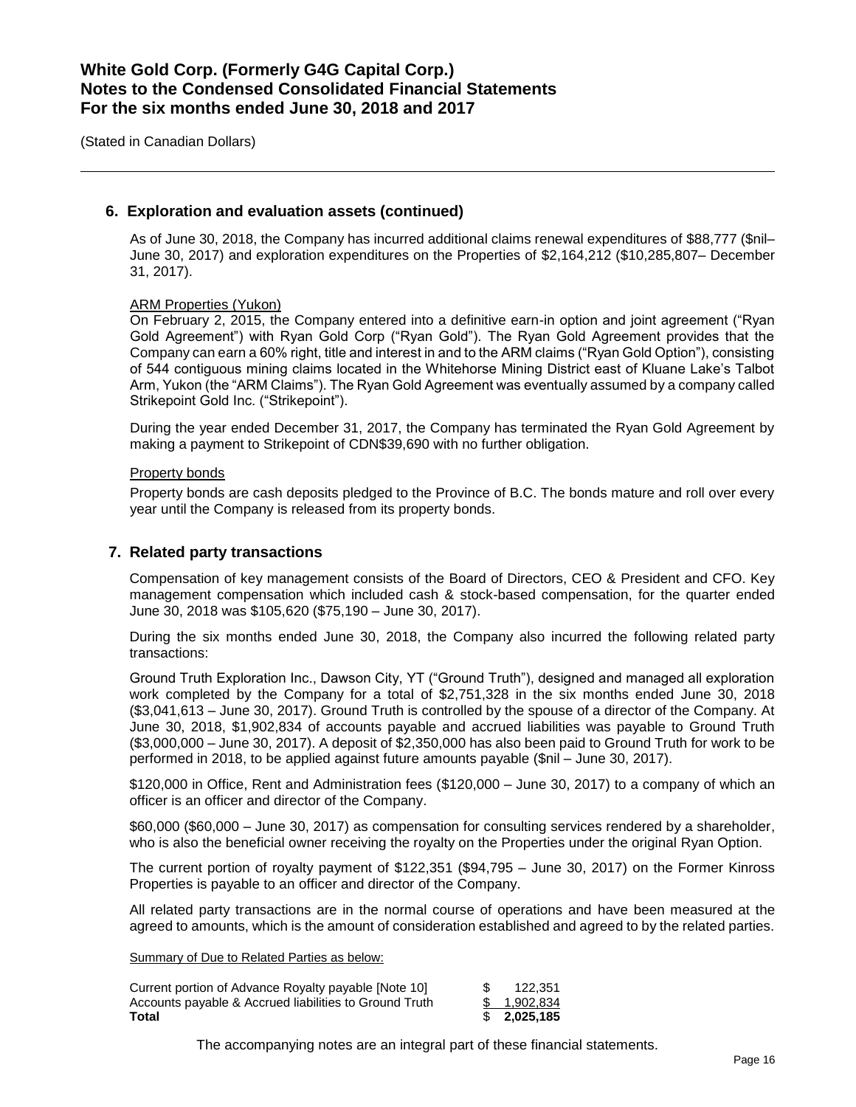(Stated in Canadian Dollars)

### **6. Exploration and evaluation assets (continued)**

As of June 30, 2018, the Company has incurred additional claims renewal expenditures of \$88,777 (\$nil– June 30, 2017) and exploration expenditures on the Properties of \$2,164,212 (\$10,285,807– December 31, 2017).

#### ARM Properties (Yukon)

On February 2, 2015, the Company entered into a definitive earn-in option and joint agreement ("Ryan Gold Agreement") with Ryan Gold Corp ("Ryan Gold"). The Ryan Gold Agreement provides that the Company can earn a 60% right, title and interest in and to the ARM claims ("Ryan Gold Option"), consisting of 544 contiguous mining claims located in the Whitehorse Mining District east of Kluane Lake's Talbot Arm, Yukon (the "ARM Claims"). The Ryan Gold Agreement was eventually assumed by a company called Strikepoint Gold Inc. ("Strikepoint").

During the year ended December 31, 2017, the Company has terminated the Ryan Gold Agreement by making a payment to Strikepoint of CDN\$39,690 with no further obligation.

#### Property bonds

Property bonds are cash deposits pledged to the Province of B.C. The bonds mature and roll over every year until the Company is released from its property bonds.

### **7. Related party transactions**

Compensation of key management consists of the Board of Directors, CEO & President and CFO. Key management compensation which included cash & stock-based compensation, for the quarter ended June 30, 2018 was \$105,620 (\$75,190 – June 30, 2017).

During the six months ended June 30, 2018, the Company also incurred the following related party transactions:

Ground Truth Exploration Inc., Dawson City, YT ("Ground Truth"), designed and managed all exploration work completed by the Company for a total of \$2,751,328 in the six months ended June 30, 2018 (\$3,041,613 – June 30, 2017). Ground Truth is controlled by the spouse of a director of the Company. At June 30, 2018, \$1,902,834 of accounts payable and accrued liabilities was payable to Ground Truth (\$3,000,000 – June 30, 2017). A deposit of \$2,350,000 has also been paid to Ground Truth for work to be performed in 2018, to be applied against future amounts payable (\$nil – June 30, 2017).

\$120,000 in Office, Rent and Administration fees (\$120,000 – June 30, 2017) to a company of which an officer is an officer and director of the Company.

\$60,000 (\$60,000 – June 30, 2017) as compensation for consulting services rendered by a shareholder, who is also the beneficial owner receiving the royalty on the Properties under the original Ryan Option.

The current portion of royalty payment of \$122,351 (\$94,795 – June 30, 2017) on the Former Kinross Properties is payable to an officer and director of the Company.

All related party transactions are in the normal course of operations and have been measured at the agreed to amounts, which is the amount of consideration established and agreed to by the related parties.

Summary of Due to Related Parties as below:

| Current portion of Advance Royalty payable [Note 10]   | 122.351      |
|--------------------------------------------------------|--------------|
| Accounts payable & Accrued liabilities to Ground Truth | \$ 1.902.834 |
| Total                                                  | \$2,025,185  |

The accompanying notes are an integral part of these financial statements.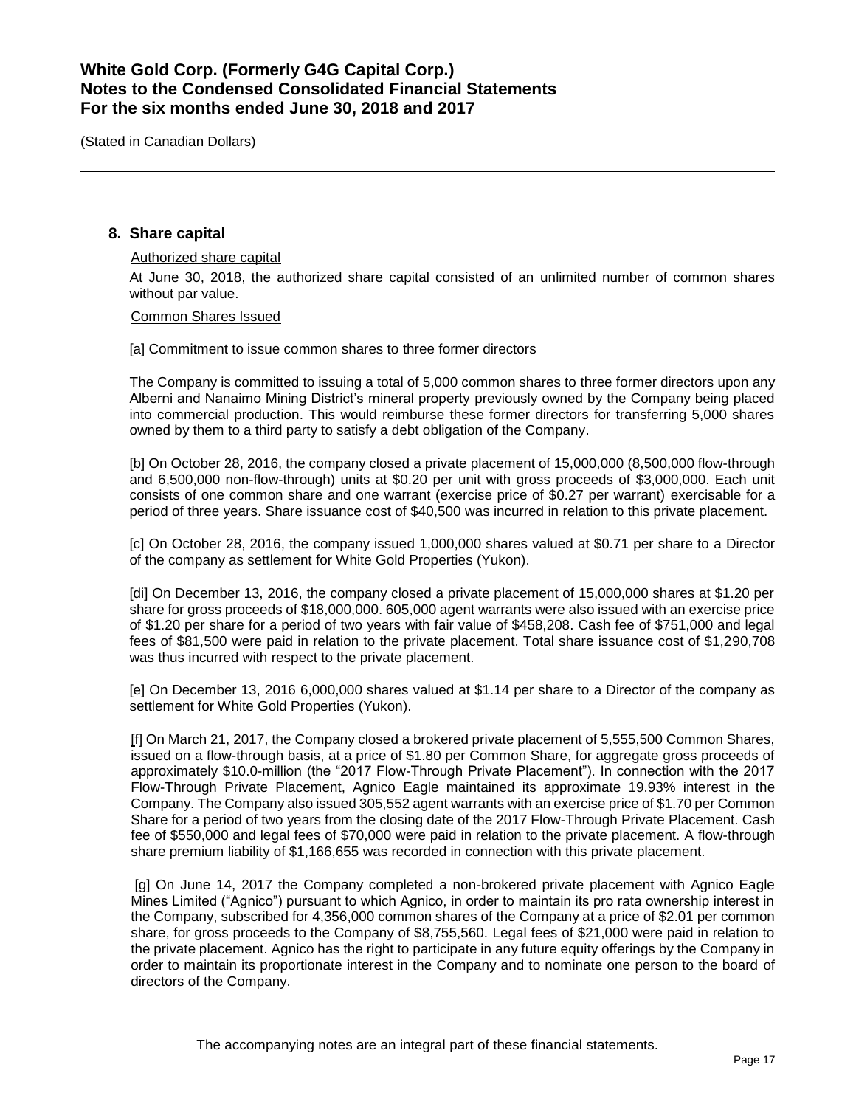(Stated in Canadian Dollars)

## **8. Share capital**

### Authorized share capital At June 30, 2018, the authorized share capital consisted of an unlimited number of common shares without par value.

Common Shares Issued

[a] Commitment to issue common shares to three former directors

The Company is committed to issuing a total of 5,000 common shares to three former directors upon any Alberni and Nanaimo Mining District's mineral property previously owned by the Company being placed into commercial production. This would reimburse these former directors for transferring 5,000 shares owned by them to a third party to satisfy a debt obligation of the Company.

[b] On October 28, 2016, the company closed a private placement of 15,000,000 (8,500,000 flow-through and 6,500,000 non-flow-through) units at \$0.20 per unit with gross proceeds of \$3,000,000. Each unit consists of one common share and one warrant (exercise price of \$0.27 per warrant) exercisable for a period of three years. Share issuance cost of \$40,500 was incurred in relation to this private placement.

[c] On October 28, 2016, the company issued 1,000,000 shares valued at \$0.71 per share to a Director of the company as settlement for White Gold Properties (Yukon).

[di] On December 13, 2016, the company closed a private placement of 15,000,000 shares at \$1.20 per share for gross proceeds of \$18,000,000. 605,000 agent warrants were also issued with an exercise price of \$1.20 per share for a period of two years with fair value of \$458,208. Cash fee of \$751,000 and legal fees of \$81,500 were paid in relation to the private placement. Total share issuance cost of \$1,290,708 was thus incurred with respect to the private placement.

[e] On December 13, 2016 6,000,000 shares valued at \$1.14 per share to a Director of the company as settlement for White Gold Properties (Yukon).

[f] On March 21, 2017, the Company closed a brokered private placement of 5,555,500 Common Shares, issued on a flow-through basis, at a price of \$1.80 per Common Share, for aggregate gross proceeds of approximately \$10.0-million (the "2017 Flow-Through Private Placement"). In connection with the 2017 Flow-Through Private Placement, Agnico Eagle maintained its approximate 19.93% interest in the Company. The Company also issued 305,552 agent warrants with an exercise price of \$1.70 per Common Share for a period of two years from the closing date of the 2017 Flow-Through Private Placement. Cash fee of \$550,000 and legal fees of \$70,000 were paid in relation to the private placement. A flow-through share premium liability of \$1,166,655 was recorded in connection with this private placement.

[g] On June 14, 2017 the Company completed a non-brokered private placement with Agnico Eagle Mines Limited ("Agnico") pursuant to which Agnico, in order to maintain its pro rata ownership interest in the Company, subscribed for 4,356,000 common shares of the Company at a price of \$2.01 per common share, for gross proceeds to the Company of \$8,755,560. Legal fees of \$21,000 were paid in relation to the private placement. Agnico has the right to participate in any future equity offerings by the Company in order to maintain its proportionate interest in the Company and to nominate one person to the board of directors of the Company.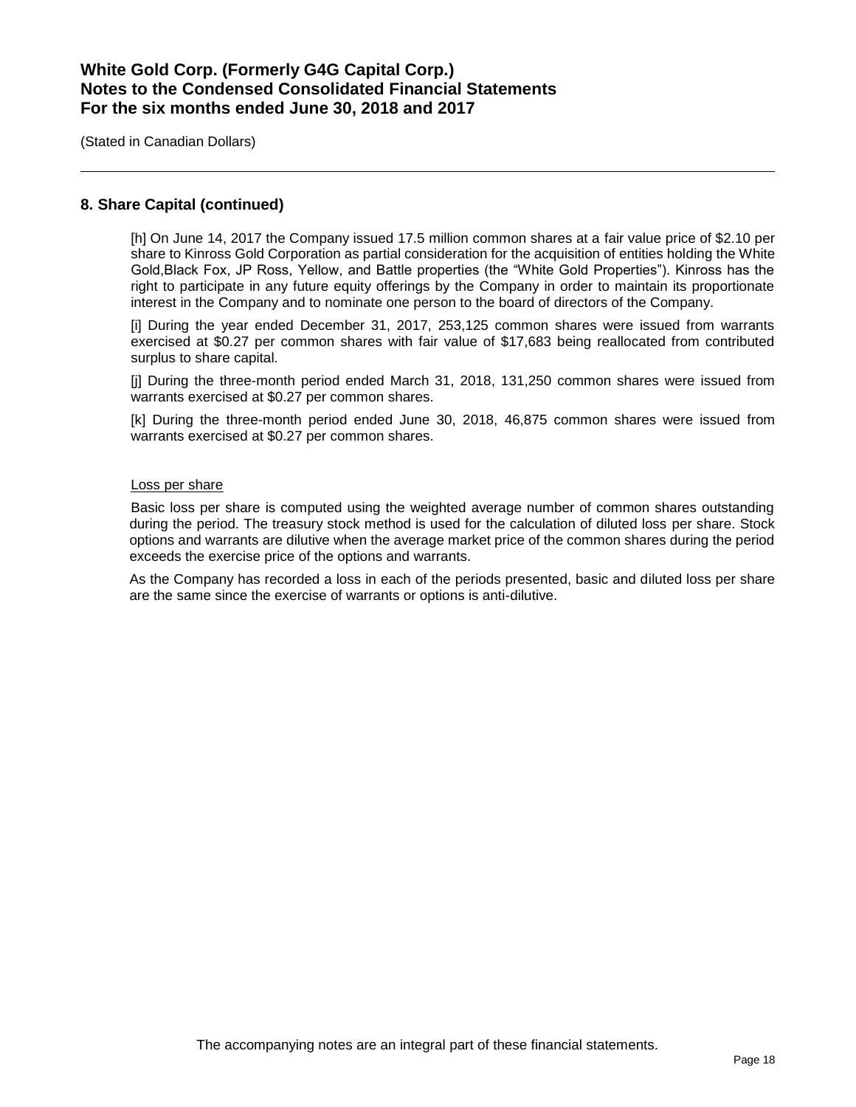(Stated in Canadian Dollars)

### **8. Share Capital (continued)**

[h] On June 14, 2017 the Company issued 17.5 million common shares at a fair value price of \$2.10 per share to Kinross Gold Corporation as partial consideration for the acquisition of entities holding the White Gold,Black Fox, JP Ross, Yellow, and Battle properties (the "White Gold Properties"). Kinross has the right to participate in any future equity offerings by the Company in order to maintain its proportionate interest in the Company and to nominate one person to the board of directors of the Company.

[i] During the year ended December 31, 2017, 253,125 common shares were issued from warrants exercised at \$0.27 per common shares with fair value of \$17,683 being reallocated from contributed surplus to share capital.

[j] During the three-month period ended March 31, 2018, 131,250 common shares were issued from warrants exercised at \$0.27 per common shares.

[k] During the three-month period ended June 30, 2018, 46,875 common shares were issued from warrants exercised at \$0.27 per common shares.

#### Loss per share

Basic loss per share is computed using the weighted average number of common shares outstanding during the period. The treasury stock method is used for the calculation of diluted loss per share. Stock options and warrants are dilutive when the average market price of the common shares during the period exceeds the exercise price of the options and warrants.

As the Company has recorded a loss in each of the periods presented, basic and diluted loss per share are the same since the exercise of warrants or options is anti-dilutive.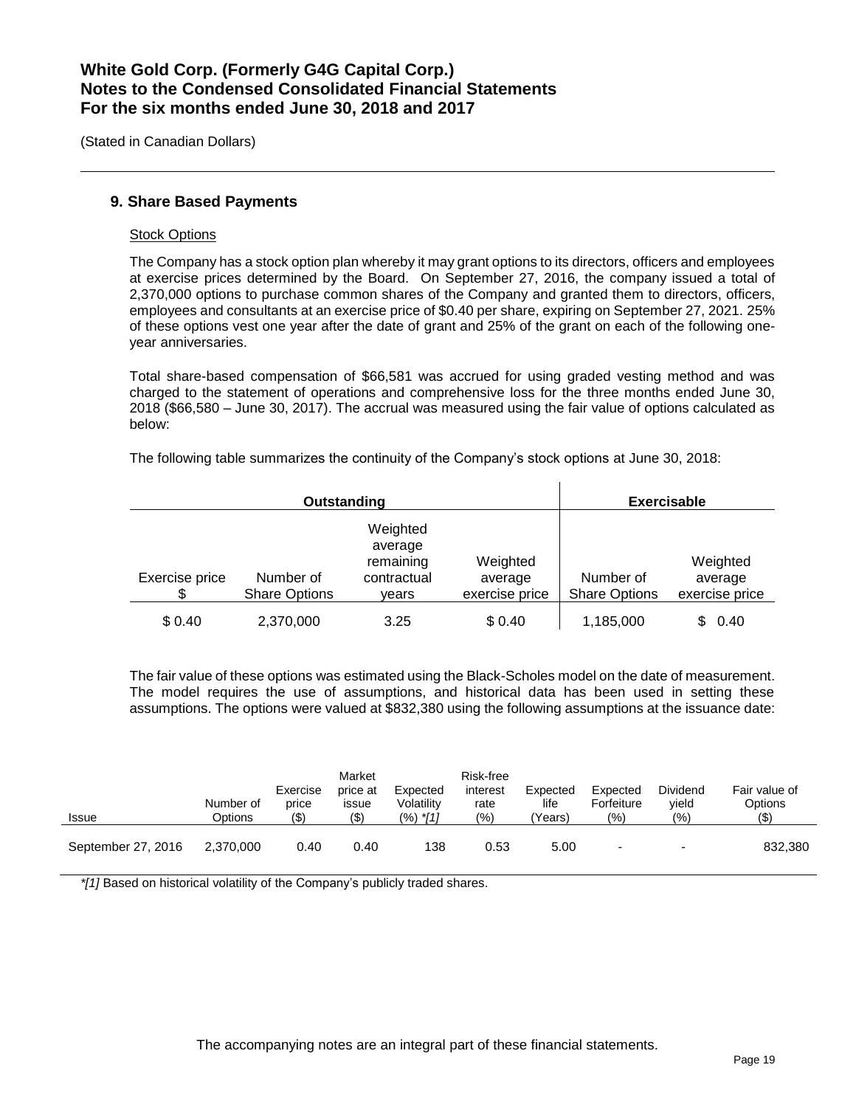(Stated in Canadian Dollars)

## **9. Share Based Payments**

#### Stock Options

The Company has a stock option plan whereby it may grant options to its directors, officers and employees at exercise prices determined by the Board. On September 27, 2016, the company issued a total of 2,370,000 options to purchase common shares of the Company and granted them to directors, officers, employees and consultants at an exercise price of \$0.40 per share, expiring on September 27, 2021. 25% of these options vest one year after the date of grant and 25% of the grant on each of the following oneyear anniversaries.

Total share-based compensation of \$66,581 was accrued for using graded vesting method and was charged to the statement of operations and comprehensive loss for the three months ended June 30, 2018 (\$66,580 – June 30, 2017). The accrual was measured using the fair value of options calculated as below:

The following table summarizes the continuity of the Company's stock options at June 30, 2018:

|                      | Outstanding                       | <b>Exercisable</b>                                       |                                       |                                   |                                       |
|----------------------|-----------------------------------|----------------------------------------------------------|---------------------------------------|-----------------------------------|---------------------------------------|
| Exercise price<br>\$ | Number of<br><b>Share Options</b> | Weighted<br>average<br>remaining<br>contractual<br>vears | Weighted<br>average<br>exercise price | Number of<br><b>Share Options</b> | Weighted<br>average<br>exercise price |
| \$0.40               | 2,370,000                         | 3.25                                                     | \$0.40                                | 1,185,000                         | 0.40<br>\$.                           |

The fair value of these options was estimated using the Black-Scholes model on the date of measurement. The model requires the use of assumptions, and historical data has been used in setting these assumptions. The options were valued at \$832,380 using the following assumptions at the issuance date:

| <b>Issue</b>       | Number of<br>Options | Exercise<br>price<br>(\$) | Market<br>price at<br><b>ISSUE</b><br>$($ \$) | Expected<br>Volatility<br>$(%)$ *[1] | Risk-free<br>interest<br>rate<br>(%) | Expected<br>life<br>'Years) | Expected<br>Forfeiture<br>$\frac{1}{2}$ | Dividend<br>vield<br>(9/0) | Fair value of<br>Options<br>$($ \$ |
|--------------------|----------------------|---------------------------|-----------------------------------------------|--------------------------------------|--------------------------------------|-----------------------------|-----------------------------------------|----------------------------|------------------------------------|
| September 27, 2016 | 2.370.000            | 0.40                      | 0.40                                          | 138                                  | 0.53                                 | 5.00                        | $\overline{\phantom{0}}$                | $\overline{\phantom{0}}$   | 832,380                            |

*\*[1]* Based on historical volatility of the Company's publicly traded shares.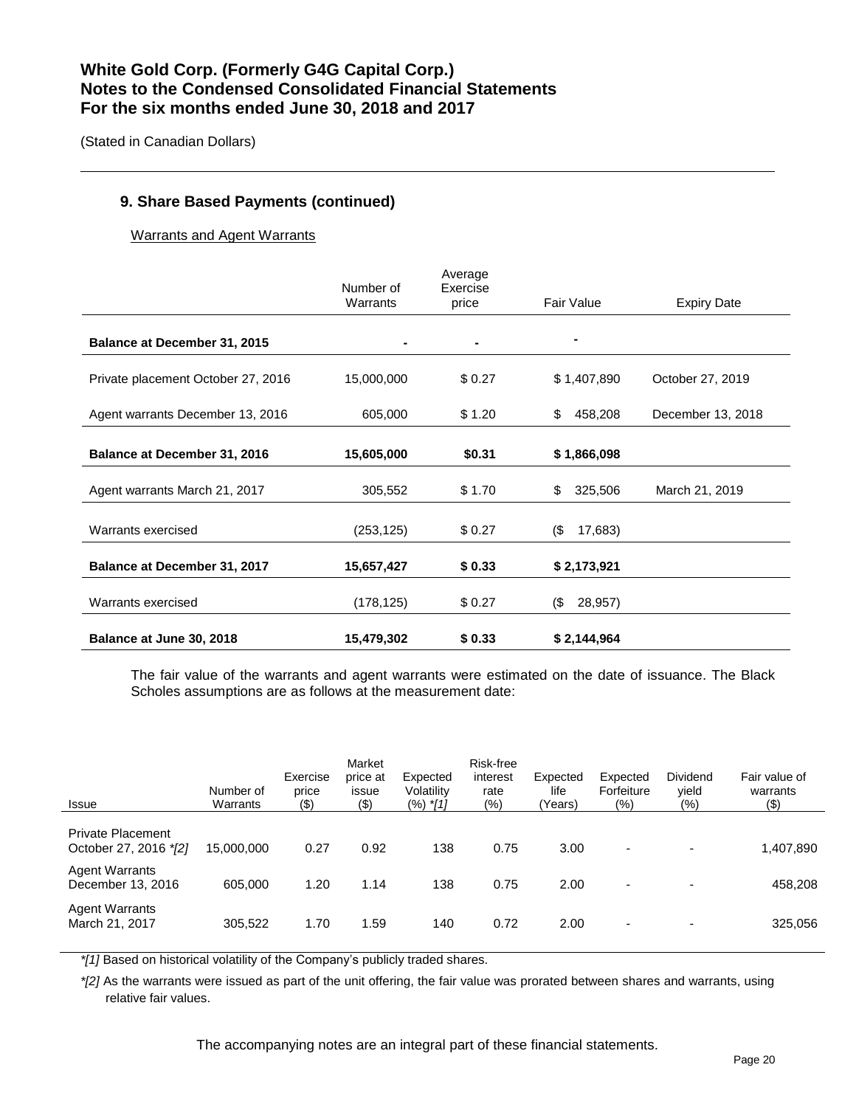(Stated in Canadian Dollars)

## **9. Share Based Payments (continued)**

Warrants and Agent Warrants

|                                    | Number of<br>Warrants | Average<br>Exercise<br>price | Fair Value     | <b>Expiry Date</b> |
|------------------------------------|-----------------------|------------------------------|----------------|--------------------|
| Balance at December 31, 2015       |                       |                              |                |                    |
| Private placement October 27, 2016 | 15,000,000            | \$0.27                       | \$1,407,890    | October 27, 2019   |
| Agent warrants December 13, 2016   | 605,000               | \$1.20                       | 458,208<br>\$  | December 13, 2018  |
| Balance at December 31, 2016       | 15,605,000            | \$0.31                       | \$1,866,098    |                    |
| Agent warrants March 21, 2017      | 305,552               | \$1.70                       | 325,506<br>\$  | March 21, 2019     |
| Warrants exercised                 | (253, 125)            | \$0.27                       | (\$<br>17,683) |                    |
| Balance at December 31, 2017       | 15,657,427            | \$0.33                       | \$2,173,921    |                    |
| Warrants exercised                 | (178, 125)            | \$0.27                       | (\$<br>28,957) |                    |
| Balance at June 30, 2018           | 15,479,302            | \$0.33                       | \$2,144,964    |                    |

The fair value of the warrants and agent warrants were estimated on the date of issuance. The Black Scholes assumptions are as follows at the measurement date:

| <b>Issue</b>                                      | Number of<br>Warrants | Exercise<br>price<br>$($ \$) | Market<br>price at<br>issue<br>(3) | Expected<br>Volatility<br>$(%)$ *[1] | Risk-free<br>interest<br>rate<br>$(\% )$ | Expected<br>life<br>(Years) | Expected<br>Forfeiture<br>(9/6) | <b>Dividend</b><br>vield<br>(%) | Fair value of<br>warrants<br>(3) |
|---------------------------------------------------|-----------------------|------------------------------|------------------------------------|--------------------------------------|------------------------------------------|-----------------------------|---------------------------------|---------------------------------|----------------------------------|
| <b>Private Placement</b><br>October 27, 2016 */2] | 15.000.000            | 0.27                         | 0.92                               | 138                                  | 0.75                                     | 3.00                        | $\overline{\phantom{a}}$        |                                 | 1,407,890                        |
| <b>Agent Warrants</b><br>December 13, 2016        | 605.000               | 1.20                         | 1.14                               | 138                                  | 0.75                                     | 2.00                        | $\overline{\phantom{a}}$        | $\overline{\phantom{0}}$        | 458,208                          |
| <b>Agent Warrants</b><br>March 21, 2017           | 305,522               | 1.70                         | 1.59                               | 140                                  | 0.72                                     | 2.00                        | $\overline{\phantom{a}}$        |                                 | 325,056                          |

*\*[1]* Based on historical volatility of the Company's publicly traded shares.

*\*[2]* As the warrants were issued as part of the unit offering, the fair value was prorated between shares and warrants, using relative fair values.

The accompanying notes are an integral part of these financial statements.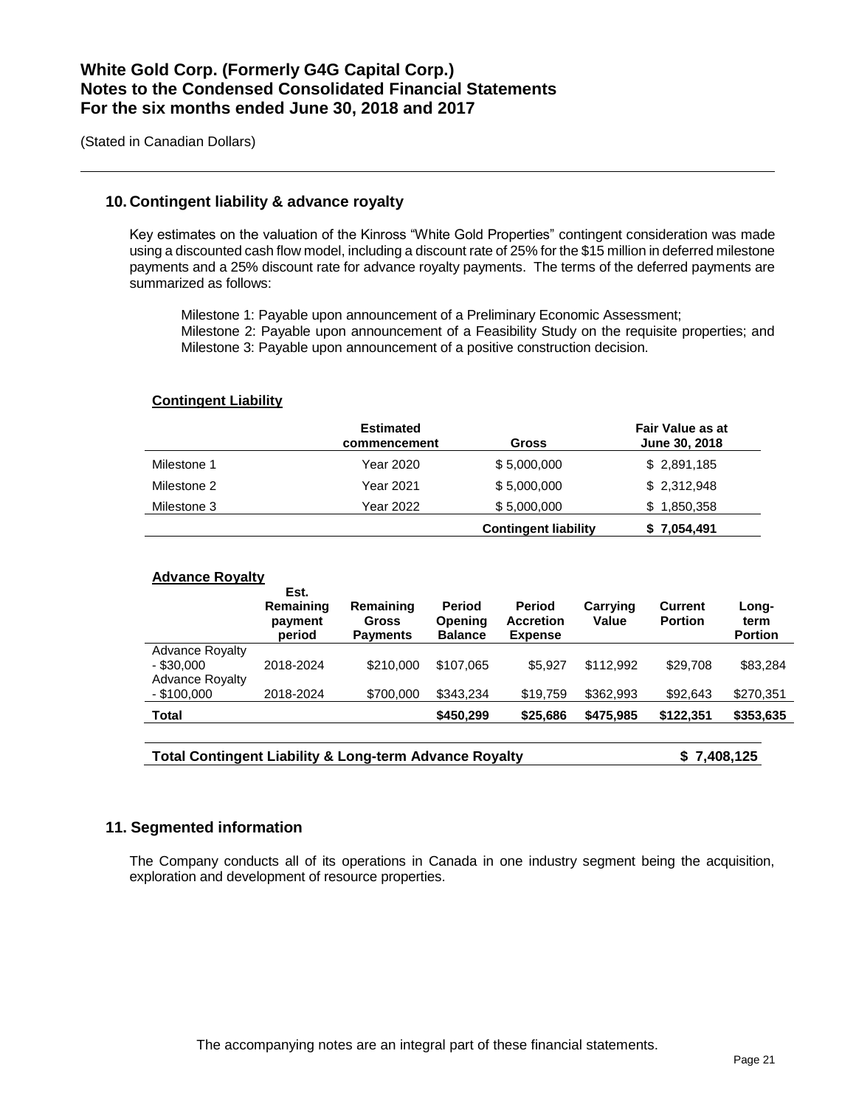(Stated in Canadian Dollars)

### **10. Contingent liability & advance royalty**

Key estimates on the valuation of the Kinross "White Gold Properties" contingent consideration was made using a discounted cash flow model, including a discount rate of 25% for the \$15 million in deferred milestone payments and a 25% discount rate for advance royalty payments. The terms of the deferred payments are summarized as follows:

Milestone 1: Payable upon announcement of a Preliminary Economic Assessment; Milestone 2: Payable upon announcement of a Feasibility Study on the requisite properties; and Milestone 3: Payable upon announcement of a positive construction decision.

#### **Contingent Liability**

|             | <b>Estimated</b><br>commencement | <b>Gross</b>                | <b>Fair Value as at</b><br>June 30, 2018 |
|-------------|----------------------------------|-----------------------------|------------------------------------------|
| Milestone 1 | Year 2020                        | \$5,000,000                 | \$2,891,185                              |
| Milestone 2 | Year 2021                        | \$5,000,000                 | \$2,312,948                              |
| Milestone 3 | Year 2022                        | \$5,000,000                 | \$1,850,358                              |
|             |                                  | <b>Contingent liability</b> | \$7,054,491                              |

#### **Advance Royalty**

|                                                                  | Est.<br>Remaining<br>payment<br>period | Remaining<br><b>Gross</b><br><b>Payments</b> | <b>Period</b><br>Opening<br><b>Balance</b> | <b>Period</b><br><b>Accretion</b><br><b>Expense</b> | Carrying<br>Value | <b>Current</b><br><b>Portion</b> | Long-<br>term<br><b>Portion</b> |
|------------------------------------------------------------------|----------------------------------------|----------------------------------------------|--------------------------------------------|-----------------------------------------------------|-------------------|----------------------------------|---------------------------------|
| <b>Advance Royalty</b><br>$-$ \$30,000<br><b>Advance Royalty</b> | 2018-2024                              | \$210,000                                    | \$107.065                                  | \$5.927                                             | \$112.992         | \$29,708                         | \$83,284                        |
| $-$ \$100,000                                                    | 2018-2024                              | \$700,000                                    | \$343.234                                  | \$19.759                                            | \$362,993         | \$92,643                         | \$270,351                       |
| <b>Total</b>                                                     |                                        |                                              | \$450,299                                  | \$25,686                                            | \$475.985         | \$122,351                        | \$353,635                       |

| <b>Total Contingent Liability &amp; Long-term Advance Royalty</b> | \$7,408,125 |
|-------------------------------------------------------------------|-------------|
|-------------------------------------------------------------------|-------------|

### **11. Segmented information**

The Company conducts all of its operations in Canada in one industry segment being the acquisition, exploration and development of resource properties.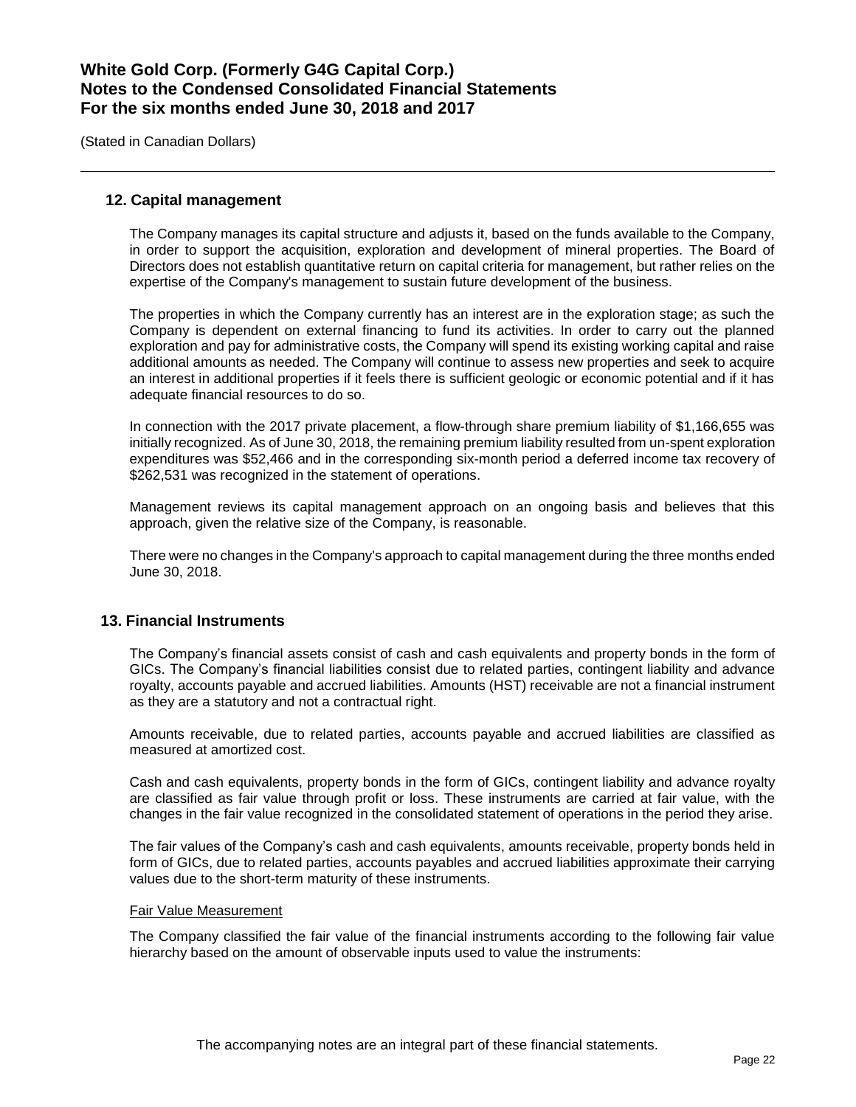(Stated in Canadian Dollars)

### **12. Capital management**

The Company manages its capital structure and adjusts it, based on the funds available to the Company, in order to support the acquisition, exploration and development of mineral properties. The Board of Directors does not establish quantitative return on capital criteria for management, but rather relies on the expertise of the Company's management to sustain future development of the business.

The properties in which the Company currently has an interest are in the exploration stage; as such the Company is dependent on external financing to fund its activities. In order to carry out the planned exploration and pay for administrative costs, the Company will spend its existing working capital and raise additional amounts as needed. The Company will continue to assess new properties and seek to acquire an interest in additional properties if it feels there is sufficient geologic or economic potential and if it has adequate financial resources to do so.

In connection with the 2017 private placement, a flow-through share premium liability of \$1,166,655 was initially recognized. As of June 30, 2018, the remaining premium liability resulted from un-spent exploration expenditures was \$52,466 and in the corresponding six-month period a deferred income tax recovery of \$262,531 was recognized in the statement of operations.

Management reviews its capital management approach on an ongoing basis and believes that this approach, given the relative size of the Company, is reasonable.

There were no changes in the Company's approach to capital management during the three months ended June 30, 2018.

#### **13. Financial Instruments**

The Company's financial assets consist of cash and cash equivalents and property bonds in the form of GICs. The Company's financial liabilities consist due to related parties, contingent liability and advance royalty, accounts payable and accrued liabilities. Amounts (HST) receivable are not a financial instrument as they are a statutory and not a contractual right.

Amounts receivable, due to related parties, accounts payable and accrued liabilities are classified as measured at amortized cost.

Cash and cash equivalents, property bonds in the form of GICs, contingent liability and advance royalty are classified as fair value through profit or loss. These instruments are carried at fair value, with the changes in the fair value recognized in the consolidated statement of operations in the period they arise.

The fair values of the Company's cash and cash equivalents, amounts receivable, property bonds held in form of GICs, due to related parties, accounts payables and accrued liabilities approximate their carrying values due to the short-term maturity of these instruments.

#### Fair Value Measurement

The Company classified the fair value of the financial instruments according to the following fair value hierarchy based on the amount of observable inputs used to value the instruments: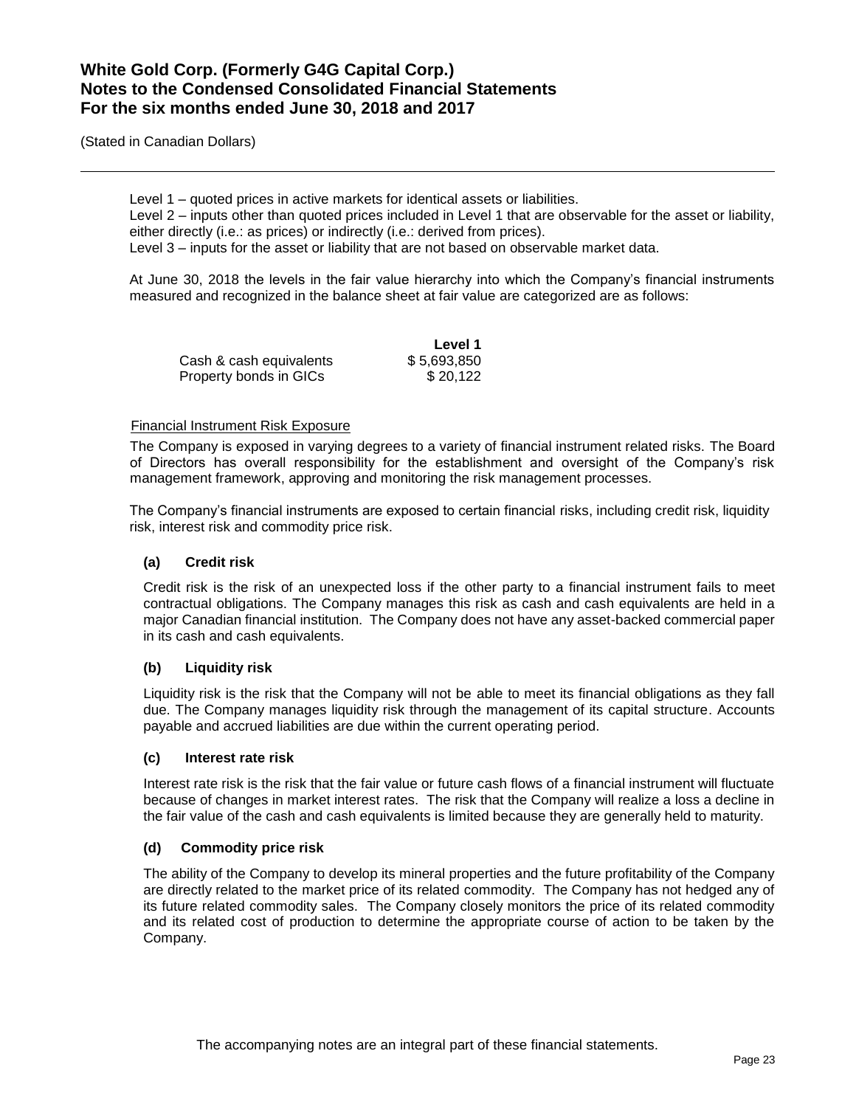(Stated in Canadian Dollars)

Level 1 – quoted prices in active markets for identical assets or liabilities.

Level 2 – inputs other than quoted prices included in Level 1 that are observable for the asset or liability, either directly (i.e.: as prices) or indirectly (i.e.: derived from prices).

Level 3 – inputs for the asset or liability that are not based on observable market data.

At June 30, 2018 the levels in the fair value hierarchy into which the Company's financial instruments measured and recognized in the balance sheet at fair value are categorized are as follows:

|                         | Level 1     |
|-------------------------|-------------|
| Cash & cash equivalents | \$5.693.850 |
| Property bonds in GICs  | \$20.122    |

### Financial Instrument Risk Exposure

The Company is exposed in varying degrees to a variety of financial instrument related risks. The Board of Directors has overall responsibility for the establishment and oversight of the Company's risk management framework, approving and monitoring the risk management processes.

The Company's financial instruments are exposed to certain financial risks, including credit risk, liquidity risk, interest risk and commodity price risk.

## **(a) Credit risk**

Credit risk is the risk of an unexpected loss if the other party to a financial instrument fails to meet contractual obligations. The Company manages this risk as cash and cash equivalents are held in a major Canadian financial institution. The Company does not have any asset-backed commercial paper in its cash and cash equivalents.

## **(b) Liquidity risk**

Liquidity risk is the risk that the Company will not be able to meet its financial obligations as they fall due. The Company manages liquidity risk through the management of its capital structure. Accounts payable and accrued liabilities are due within the current operating period.

#### **(c) Interest rate risk**

Interest rate risk is the risk that the fair value or future cash flows of a financial instrument will fluctuate because of changes in market interest rates. The risk that the Company will realize a loss a decline in the fair value of the cash and cash equivalents is limited because they are generally held to maturity.

#### **(d) Commodity price risk**

The ability of the Company to develop its mineral properties and the future profitability of the Company are directly related to the market price of its related commodity. The Company has not hedged any of its future related commodity sales. The Company closely monitors the price of its related commodity and its related cost of production to determine the appropriate course of action to be taken by the Company.